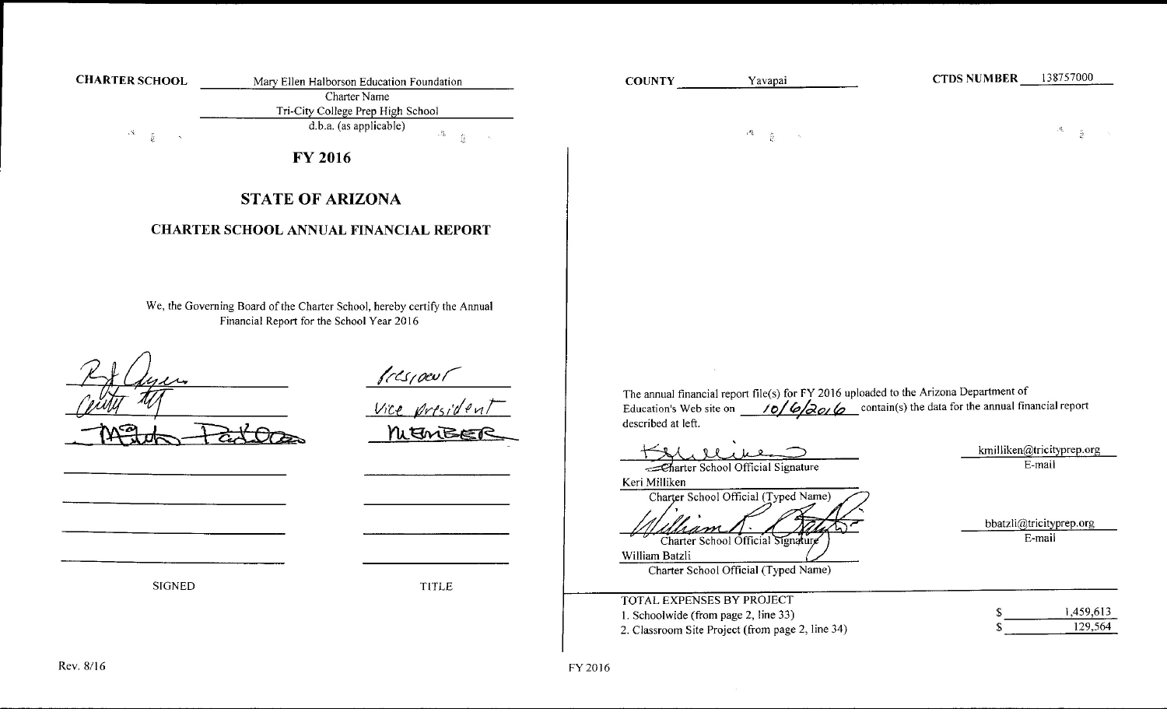| <b>CHARTER SCHOOL</b>     | Mary Ellen Halborson Education Foundation                                                                             | <b>COUNTY</b>                                                            | Yavapai                                                                                                                                                | 138757000<br><b>CTDS NUMBER</b>                                                                                          |
|---------------------------|-----------------------------------------------------------------------------------------------------------------------|--------------------------------------------------------------------------|--------------------------------------------------------------------------------------------------------------------------------------------------------|--------------------------------------------------------------------------------------------------------------------------|
|                           | <b>Charter Name</b>                                                                                                   |                                                                          |                                                                                                                                                        |                                                                                                                          |
|                           | Tri-City College Prep High School<br>d.b.a. (as applicable)                                                           |                                                                          |                                                                                                                                                        |                                                                                                                          |
| $\mathbf{x}$<br>$\hat{k}$ | $\mathcal{P}_{\mathbf{k}} = -\frac{1}{k_{\mathrm{B}}}$<br>$\sim 10^{-1}$                                              |                                                                          | $\sim 1$<br>$\hat{R}$<br>$\mathcal{A}_\mathrm{c}$                                                                                                      | $\partial F$ .<br>$-\frac{P}{2\pi}$                                                                                      |
|                           | <b>FY 2016</b>                                                                                                        |                                                                          |                                                                                                                                                        |                                                                                                                          |
|                           | <b>STATE OF ARIZONA</b><br><b>CHARTER SCHOOL ANNUAL FINANCIAL REPORT</b>                                              |                                                                          |                                                                                                                                                        |                                                                                                                          |
|                           | We, the Governing Board of the Charter School, hereby certify the Annual<br>Financial Report for the School Year 2016 |                                                                          |                                                                                                                                                        |                                                                                                                          |
|                           | <u>Prespoent</u><br>Vice president<br>NUEMBET                                                                         | described at left.                                                       | The annual financial report file(s) for FY 2016 uploaded to the Arizona Department of                                                                  | Education's Web site on $\frac{10}{\sqrt{20}}$ $\frac{6}{\sqrt{20}}$ contain(s) the data for the annual financial report |
|                           |                                                                                                                       |                                                                          |                                                                                                                                                        | kmilliken@tricityprep.org                                                                                                |
|                           |                                                                                                                       | Keri Milliken<br>William Batzli                                          | Charter School Official Signature<br>Charter School Official (Typed Name)<br>Charter School Official Signature<br>Charter School Official (Typed Name) | E-mail<br>bbatzli@tricityprep.org<br>E-mail                                                                              |
| <b>SIGNED</b>             | <b>TITLE</b>                                                                                                          |                                                                          |                                                                                                                                                        |                                                                                                                          |
|                           |                                                                                                                       | <b>TOTAL EXPENSES BY PROJECT</b><br>1. Schoolwide (from page 2, line 33) | 2. Classroom Site Project (from page 2, line 34)                                                                                                       | 1,459,613<br>129,564                                                                                                     |
|                           |                                                                                                                       |                                                                          |                                                                                                                                                        |                                                                                                                          |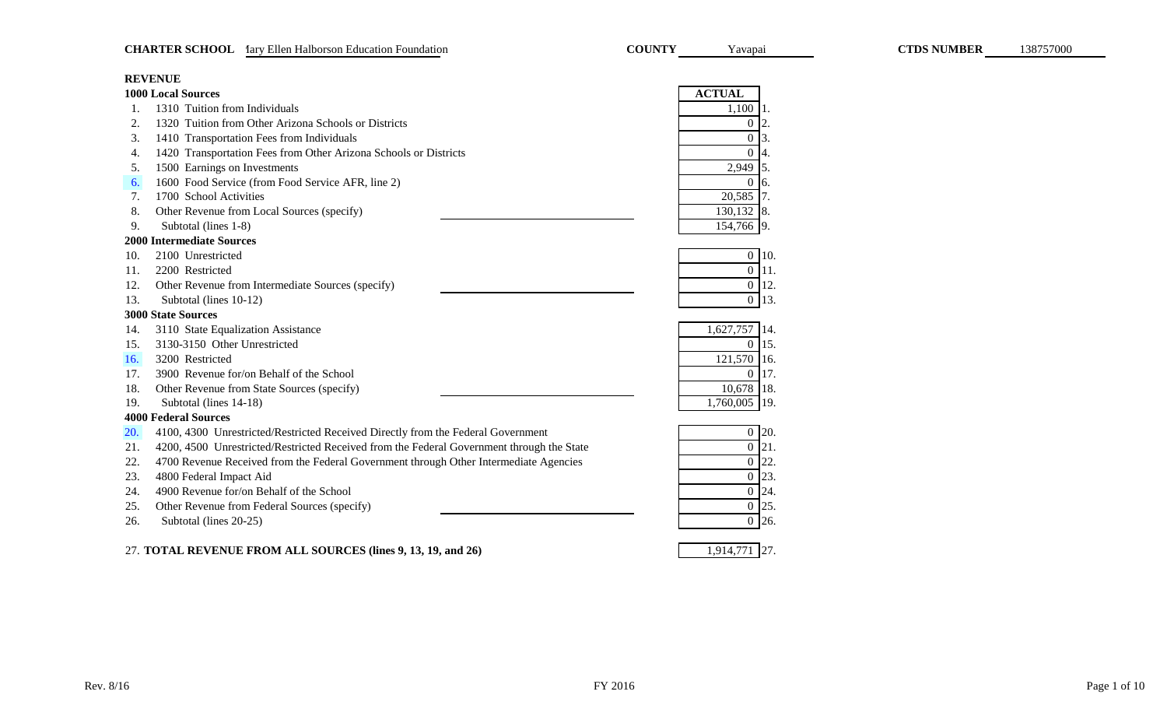|                  | <b>REVENUE</b>                                                                            |                  |                |
|------------------|-------------------------------------------------------------------------------------------|------------------|----------------|
|                  | <b>1000 Local Sources</b>                                                                 | <b>ACTUAL</b>    |                |
| 1.               | 1310 Tuition from Individuals                                                             | 1,100            | 11.            |
| 2.               | 1320 Tuition from Other Arizona Schools or Districts                                      | $\overline{0}$   | 2.             |
| 3.               | 1410 Transportation Fees from Individuals                                                 | $\overline{0}$   | 13.            |
| $\overline{4}$ . | 1420 Transportation Fees from Other Arizona Schools or Districts                          | $\overline{0}$   | 4.             |
| 5.               | 1500 Earnings on Investments                                                              | 2,949            | <sup>15.</sup> |
| 6.               | 1600 Food Service (from Food Service AFR, line 2)                                         | $\overline{0}$   | 6.             |
| 7.               | 1700 School Activities                                                                    | 20,585           | 7.             |
| 8.               | Other Revenue from Local Sources (specify)                                                | $130,132$ 8.     |                |
| 9.               | Subtotal (lines 1-8)                                                                      | 154,766 9.       |                |
|                  | <b>2000 Intermediate Sources</b>                                                          |                  |                |
| 10.              | 2100 Unrestricted                                                                         | $\overline{0}$   | 10.            |
| 11.              | 2200 Restricted                                                                           | $\boldsymbol{0}$ | 11.            |
| 12.              | Other Revenue from Intermediate Sources (specify)                                         | $\boldsymbol{0}$ | 12.            |
| 13.              | Subtotal (lines 10-12)                                                                    | $\overline{0}$   | 13.            |
|                  | <b>3000 State Sources</b>                                                                 |                  |                |
| 14.              | 3110 State Equalization Assistance                                                        | 1,627,757        | 14.            |
| 15.              | 3130-3150 Other Unrestricted                                                              | $\overline{0}$   | 15.            |
| 16.              | 3200 Restricted                                                                           | 121,570          | 16.            |
| 17.              | 3900 Revenue for/on Behalf of the School                                                  | $\overline{0}$   | 17.            |
| 18.              | Other Revenue from State Sources (specify)                                                | 10,678           | 18.            |
| 19.              | Subtotal (lines 14-18)                                                                    | 1,760,005        | 19.            |
|                  | <b>4000 Federal Sources</b>                                                               |                  |                |
| 20.              | 4100, 4300 Unrestricted/Restricted Received Directly from the Federal Government          | $\boldsymbol{0}$ | 20.            |
| 21.              | 4200, 4500 Unrestricted/Restricted Received from the Federal Government through the State | $\boldsymbol{0}$ | 21.            |
| 22.              | 4700 Revenue Received from the Federal Government through Other Intermediate Agencies     | $\boldsymbol{0}$ | 22.            |
| 23.              | 4800 Federal Impact Aid                                                                   | $\boldsymbol{0}$ | 23.            |
| 24.              | 4900 Revenue for/on Behalf of the School                                                  | $\boldsymbol{0}$ | 24.            |
| 25.              | Other Revenue from Federal Sources (specify)                                              | $\boldsymbol{0}$ | 25.            |
| 26.              | Subtotal (lines 20-25)                                                                    | $\boldsymbol{0}$ | 26.            |
|                  |                                                                                           |                  |                |

27. 1,914,771 27. **TOTAL REVENUE FROM ALL SOURCES (lines 9, 13, 19, and 26)**

<span id="page-1-0"></span>**CHARTER SCHOOL** 1ary Ellen Halborson Education Foundation **COUNTY** Tavapai **COUNTY** Tavapai **CTDS NUMBER** 138757000

COUNTY Yavapai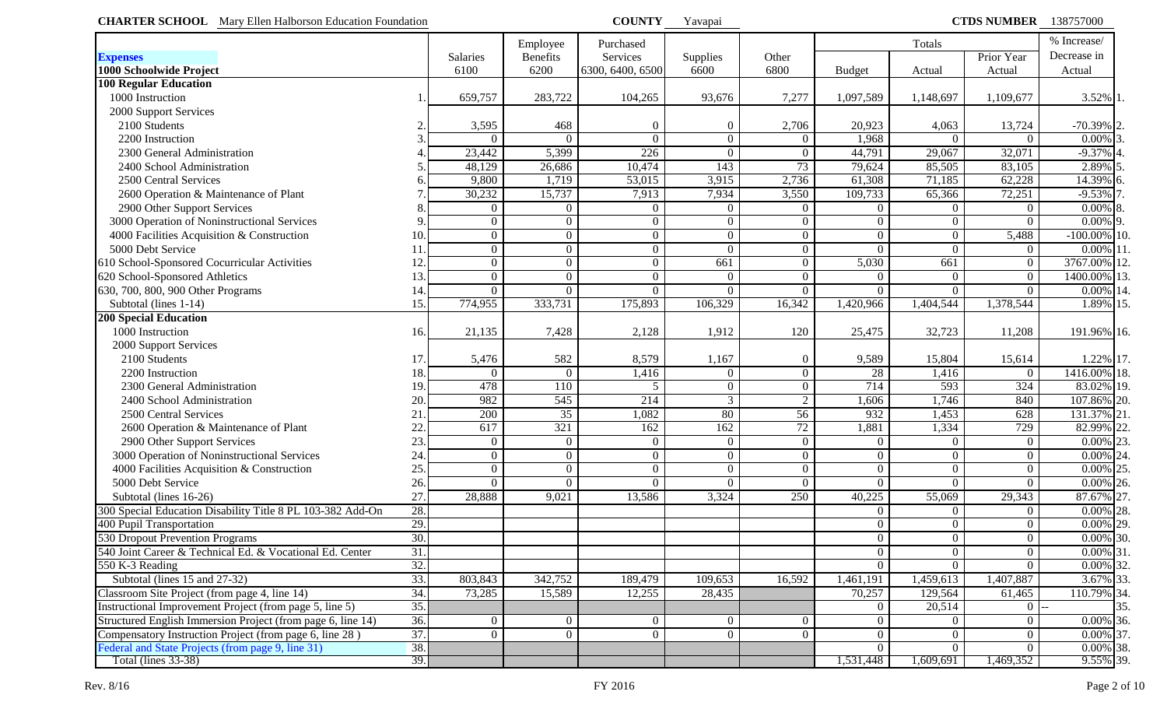<span id="page-2-0"></span>

| <b>CHARTER SCHOOL</b> Mary Ellen Halborson Education Foundation |                   |                |                  | <b>COUNTY</b>    | Yavapai        |                 |                | <b>CTDS NUMBER</b> 138757000 |                |                         |
|-----------------------------------------------------------------|-------------------|----------------|------------------|------------------|----------------|-----------------|----------------|------------------------------|----------------|-------------------------|
|                                                                 |                   |                | Employee         | Purchased        |                |                 |                | Totals                       |                | % Increase/             |
| <b>Expenses</b>                                                 |                   | Salaries       | <b>Benefits</b>  | Services         | Supplies       | Other           |                |                              | Prior Year     | Decrease in             |
| 1000 Schoolwide Project                                         |                   | 6100           | 6200             | 6300, 6400, 6500 | 6600           | 6800            | <b>Budget</b>  | Actual                       | Actual         | Actual                  |
| <b>100 Regular Education</b>                                    |                   |                |                  |                  |                |                 |                |                              |                |                         |
| 1000 Instruction                                                |                   | 659,757        | 283,722          | 104,265          | 93,676         | 7,277           | 1,097,589      | 1,148,697                    | 1,109,677      | 3.52% 1                 |
| 2000 Support Services                                           |                   |                |                  |                  |                |                 |                |                              |                |                         |
| 2100 Students                                                   |                   | 3,595          | 468              | $\theta$         | 0              | 2,706           | 20,923         | 4,063                        | 13,724         | $-70.39\%$ 2.           |
| 2200 Instruction                                                |                   | $\Omega$       | $\left($         | $\overline{0}$   | $\overline{0}$ | $\overline{0}$  | 1,968          | $\Omega$                     | $\overline{0}$ | $0.00\%$                |
| 2300 General Administration                                     |                   | 23,442         | 5,399            | 226              | $\Omega$       | $\overline{0}$  | 44,791         | 29,067                       | 32,071         | $-9.37\%$ 4             |
| 2400 School Administration                                      |                   | 48,129         | 26,686           | 10,474           | 143            | 73              | 79,624         | 85,505                       | 83,105         | 2.89%                   |
| 2500 Central Services                                           |                   | 9,800          | 1,719            | 53,015           | 3,915          | 2,736           | 61,308         | 71,185                       | 62,228         | 14.39% 6                |
| 2600 Operation & Maintenance of Plant                           |                   | 30,232         | 15,737           | 7,913            | 7,934          | 3,550           | 109,733        | 65,366                       | 72,251         | $-9.53\%$ 7             |
| 2900 Other Support Services                                     |                   | $\overline{0}$ | $\boldsymbol{0}$ | $\overline{0}$   | $\overline{0}$ | $\overline{0}$  | $\overline{0}$ | $\overline{0}$               | $\theta$       | $0.00\%$ 8              |
| 3000 Operation of Noninstructional Services                     |                   | $\overline{0}$ | $\overline{0}$   | $\boldsymbol{0}$ | $\Omega$       | $\overline{0}$  | $\theta$       | $\overline{0}$               | $\Omega$       | $0.00\%$ 9.             |
| 4000 Facilities Acquisition & Construction                      | 10.               | $\overline{0}$ | $\overline{0}$   | $\boldsymbol{0}$ | $\Omega$       | $\overline{0}$  | $\theta$       | $\overline{0}$               | 5,488          | $-100.00\%$ 10.         |
| 5000 Debt Service                                               |                   | $\overline{0}$ | $\overline{0}$   | $\boldsymbol{0}$ | $\Omega$       | $\overline{0}$  | $\Omega$       | $\overline{0}$               | $\mathbf{0}$   | 0.00% 11                |
| 610 School-Sponsored Cocurricular Activities                    | 12                | $\overline{0}$ | $\overline{0}$   | $\mathbf{0}$     | 661            | $\overline{0}$  | 5,030          | 661                          | $\mathbf{0}$   | 3767.00% 12.            |
| 620 School-Sponsored Athletics                                  | 13.               | $\overline{0}$ | $\overline{0}$   | $\mathbf{0}$     | $\Omega$       | $\overline{0}$  | $\Omega$       | $\overline{0}$               | $\mathbf{0}$   | 1400.00% 13.            |
| 630, 700, 800, 900 Other Programs                               | 14.               | $\theta$       | $\theta$         | $\Omega$         | $\Omega$       | $\overline{0}$  | $\Omega$       | $\Omega$                     | $\theta$       | 0.00% 14.               |
| Subtotal (lines 1-14)                                           | 15.               | 774,955        | 333,731          | 175,893          | 106,329        | 16,342          | 1,420,966      | 1,404,544                    | 1,378,544      | 1.89% 15.               |
| <b>200 Special Education</b>                                    |                   |                |                  |                  |                |                 |                |                              |                |                         |
| 1000 Instruction                                                | 16.               | 21,135         | 7,428            | 2,128            | 1,912          | 120             | 25,475         | 32,723                       | 11,208         | 191.96% 16.             |
| 2000 Support Services                                           |                   |                |                  |                  |                |                 |                |                              |                |                         |
| 2100 Students                                                   | 17                | 5,476          | 582              | 8,579            | 1,167          | $\overline{0}$  | 9,589          | 15,804                       | 15,614         | 1.22% 17.               |
| 2200 Instruction                                                | 18.               | $\theta$       | $\mathbf{0}$     | 1,416            | $\Omega$       | $\overline{0}$  | 28             | 1,416                        | $\overline{0}$ | 1416.00% 18.            |
| 2300 General Administration                                     | 19.               | 478            | 110              | 5                | $\Omega$       | $\overline{0}$  | 714            | 593                          | 324            | 83.02% 19.              |
| 2400 School Administration                                      | 20                | 982            | 545              | 214              | 3              | $\overline{2}$  | 1,606          | 1,746                        | 840            | 107.86% 20.             |
| 2500 Central Services                                           | 21                | 200            | 35               | 1,082            | 80             | $\overline{56}$ | 932            | 1,453                        | 628            | 131.37% 21.             |
| 2600 Operation & Maintenance of Plant                           | 22                | 617            | 321              | 162              | 162            | 72              | 1,881          | 1,334                        | 729            | 82.99% 22.              |
| 2900 Other Support Services                                     | 23.               | $\Omega$       | $\mathbf{0}$     | $\overline{0}$   | $\Omega$       | $\overline{0}$  | $\Omega$       | $\overline{0}$               | $\theta$       | $0.00\%$ 23.            |
| 3000 Operation of Noninstructional Services                     | 24                | $\overline{0}$ | $\boldsymbol{0}$ | $\mathbf{0}$     | $\overline{0}$ | $\overline{0}$  | $\theta$       | $\overline{0}$               | $\mathbf{0}$   | $\overline{0.00\%}$ 24. |
| 4000 Facilities Acquisition & Construction                      | 25.               | $\overline{0}$ | $\mathbf{0}$     | $\boldsymbol{0}$ | $\overline{0}$ | $\overline{0}$  | $\Omega$       | $\overline{0}$               | $\overline{0}$ | $0.00\%$ 25.            |
| 5000 Debt Service                                               | 26.               | $\theta$       | $\overline{0}$   | $\overline{0}$   | $\Omega$       | $\overline{0}$  | $\Omega$       | $\overline{0}$               | $\overline{0}$ | $0.00\%$ 26.            |
| Subtotal (lines 16-26)                                          | 27                | 28,888         | 9,021            | 13,586           | 3,324          | 250             | 40,225         | 55,069                       | 29,343         | 87.67% 27.              |
| 300 Special Education Disability Title 8 PL 103-382 Add-On      | 28.               |                |                  |                  |                |                 | $\Omega$       | $\overline{0}$               | $\mathbf{0}$   | $0.00\%$ 28.            |
| 400 Pupil Transportation                                        | 29.               |                |                  |                  |                |                 | $\Omega$       | $\overline{0}$               | $\mathbf{0}$   | $0.00\%$ 29.            |
| 530 Dropout Prevention Programs                                 | 30.               |                |                  |                  |                |                 | $\overline{0}$ | $\overline{0}$               | $\overline{0}$ | $0.00\%$ 30.            |
| 540 Joint Career & Technical Ed. & Vocational Ed. Center        | 31.               |                |                  |                  |                |                 | $\Omega$       | $\overline{0}$               | $\mathbf{0}$   | $0.00\%$ 31.            |
| 550 K-3 Reading                                                 | 32.               |                |                  |                  |                |                 | $\Omega$       | $\Omega$                     | $\Omega$       | $0.00\%$ 32.            |
| Subtotal (lines 15 and 27-32)                                   | 33.               | 803,843        | 342,752          | 189,479          | 109,653        | 16,592          | 1,461,191      | 1,459,613                    | 1,407,887      | 3.67% 33.               |
| Classroom Site Project (from page 4, line 14)                   | 34.               | 73,285         | 15,589           | 12,255           | 28,435         |                 | 70,257         | 129,564                      | 61,465         | 110.79% 34.             |
| Instructional Improvement Project (from page 5, line 5)         | 35.               |                |                  |                  |                |                 | $\theta$       | 20,514                       | $\overline{0}$ | 35.                     |
| Structured English Immersion Project (from page 6, line 14)     | $\overline{36}$ . | $\theta$       | $\overline{0}$   | $\overline{0}$   | $\theta$       | $\overline{0}$  | $\theta$       | $\overline{0}$               | $\mathbf{0}$   | $0.00\%$ 36.            |
| Compensatory Instruction Project (from page 6, line 28)         | 37.               | $\theta$       | $\overline{0}$   | $\overline{0}$   | $\overline{0}$ | $\overline{0}$  | $\theta$       | $\overline{0}$               | $\mathbf{0}$   | $0.00\%$ 37.            |
| Federal and State Projects (from page 9, line 31)               | 38.               |                |                  |                  |                |                 | $\Omega$       | $\overline{0}$               | $\theta$       | $0.00\%$ 38.            |
| <b>Total (lines 33-38)</b>                                      | 39.               |                |                  |                  |                |                 | 1,531,448      | 1,609,691                    | 1,469,352      | 9.55% 39.               |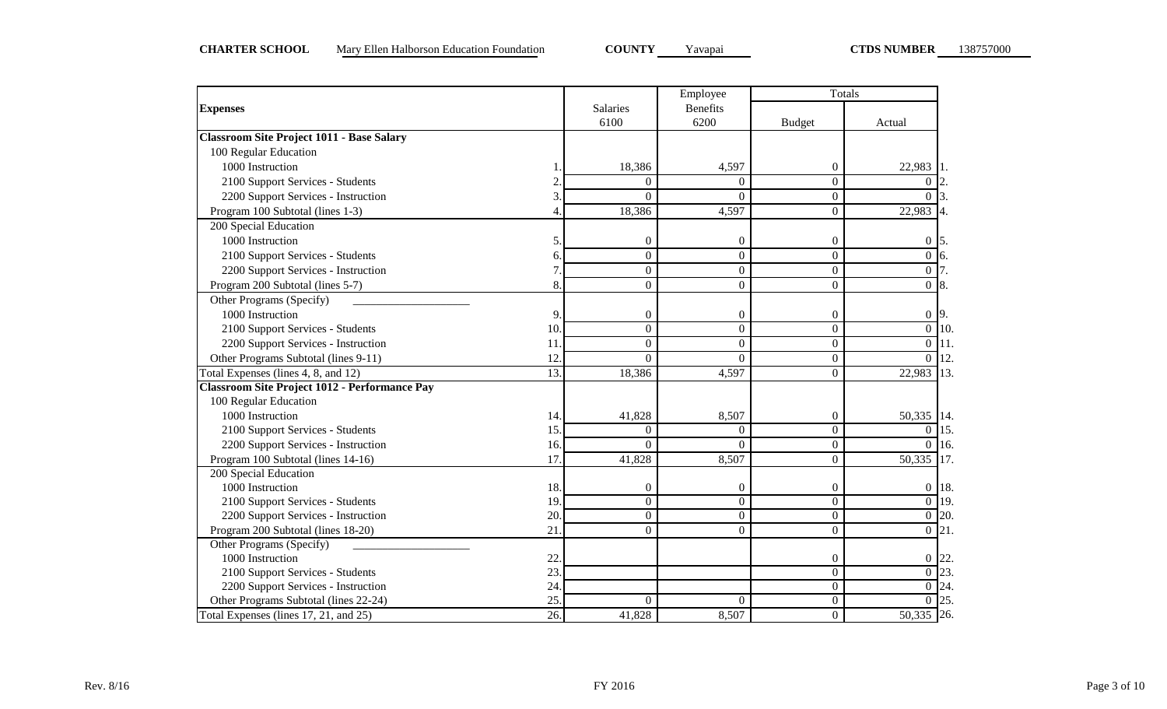|                                                      |     |                  | Employee         | Totals           |                        |
|------------------------------------------------------|-----|------------------|------------------|------------------|------------------------|
| <b>Expenses</b>                                      |     | Salaries         | <b>Benefits</b>  |                  |                        |
|                                                      |     | 6100             | 6200             | <b>Budget</b>    | Actual                 |
| <b>Classroom Site Project 1011 - Base Salary</b>     |     |                  |                  |                  |                        |
| 100 Regular Education                                |     |                  |                  |                  |                        |
| 1000 Instruction                                     |     | 18,386           | 4,597            | 0                | 22,983                 |
| 2100 Support Services - Students                     |     | $\Omega$         | $\Omega$         | $\Omega$         | $\Omega$               |
| 2200 Support Services - Instruction                  | 3   | $\Omega$         | $\Omega$         | $\boldsymbol{0}$ | $\Omega$               |
| Program 100 Subtotal (lines 1-3)                     | 4   | 18,386           | 4,597            | $\theta$         | 22,983                 |
| 200 Special Education                                |     |                  |                  |                  |                        |
| 1000 Instruction                                     | 5   | $\overline{0}$   | $\overline{0}$   | 0                | $\boldsymbol{0}$<br>5. |
| 2100 Support Services - Students                     | 6   | $\overline{0}$   | $\Omega$         | $\theta$         | $\overline{0}$<br>6.   |
| 2200 Support Services - Instruction                  | 7   | $\Omega$         | $\Omega$         | $\theta$         | $\overline{0}$         |
| Program 200 Subtotal (lines 5-7)                     | 8   | $\boldsymbol{0}$ | $\Omega$         | $\theta$         | $\overline{0}$<br>8.   |
| Other Programs (Specify)                             |     |                  |                  |                  |                        |
| 1000 Instruction                                     | 9.  | $\boldsymbol{0}$ | $\mathbf{0}$     | 0                | $0\overline{9}$ .      |
| 2100 Support Services - Students                     | 10  | $\overline{0}$   | $\mathbf{0}$     | $\overline{0}$   | $\overline{0}$<br>10.  |
| 2200 Support Services - Instruction                  | 11  | $\overline{0}$   | $\boldsymbol{0}$ | $\overline{0}$   | $\overline{0}$<br>11.  |
| Other Programs Subtotal (lines 9-11)                 | 12  | $\Omega$         | $\Omega$         | $\theta$         | 12.<br>$\overline{0}$  |
| Total Expenses (lines 4, 8, and 12)                  | 13. | 18,386           | 4,597            | $\theta$         | 13.<br>22,983          |
| <b>Classroom Site Project 1012 - Performance Pay</b> |     |                  |                  |                  |                        |
| 100 Regular Education                                |     |                  |                  |                  |                        |
| 1000 Instruction                                     | 14. | 41,828           | 8,507            | 0                | 50,335 14.             |
| 2100 Support Services - Students                     | 15  | $\theta$         | $\theta$         | $\overline{0}$   | $\overline{0}$<br>15.  |
| 2200 Support Services - Instruction                  | 16. | $\Omega$         | $\theta$         | $\overline{0}$   | $\overline{0}$<br>16.  |
| Program 100 Subtotal (lines 14-16)                   | 17  | 41,828           | 8,507            | $\theta$         | 50,335<br>17.          |
| 200 Special Education                                |     |                  |                  |                  |                        |
| 1000 Instruction                                     | 18. | $\boldsymbol{0}$ | $\theta$         | $\overline{0}$   | $0$ 18.                |
| 2100 Support Services - Students                     | 19  | $\Omega$         | $\theta$         | $\overline{0}$   | $\overline{0}$ 19.     |
| 2200 Support Services - Instruction                  | 20  | $\Omega$         | $\Omega$         | $\overline{0}$   | $\overline{0}$ 20.     |
| Program 200 Subtotal (lines 18-20)                   | 21  | $\Omega$         | $\boldsymbol{0}$ | $\theta$         | $0 \;   21.$           |
| Other Programs (Specify)                             |     |                  |                  |                  |                        |
| 1000 Instruction                                     | 22  |                  |                  | $\overline{0}$   | 22<br>$\overline{0}$   |
| 2100 Support Services - Students                     | 23  |                  |                  | $\overline{0}$   | $\overline{0}$ 23.     |
| 2200 Support Services - Instruction                  | 24  |                  |                  | $\overline{0}$   | $\overline{0}$ 24.     |
| Other Programs Subtotal (lines 22-24)                | 25  | $\Omega$         | $\Omega$         | $\boldsymbol{0}$ | $\overline{0}$ 25.     |
| Total Expenses (lines 17, 21, and 25)                | 26. | 41,828           | 8,507            | $\overline{0}$   | 50,335 26.             |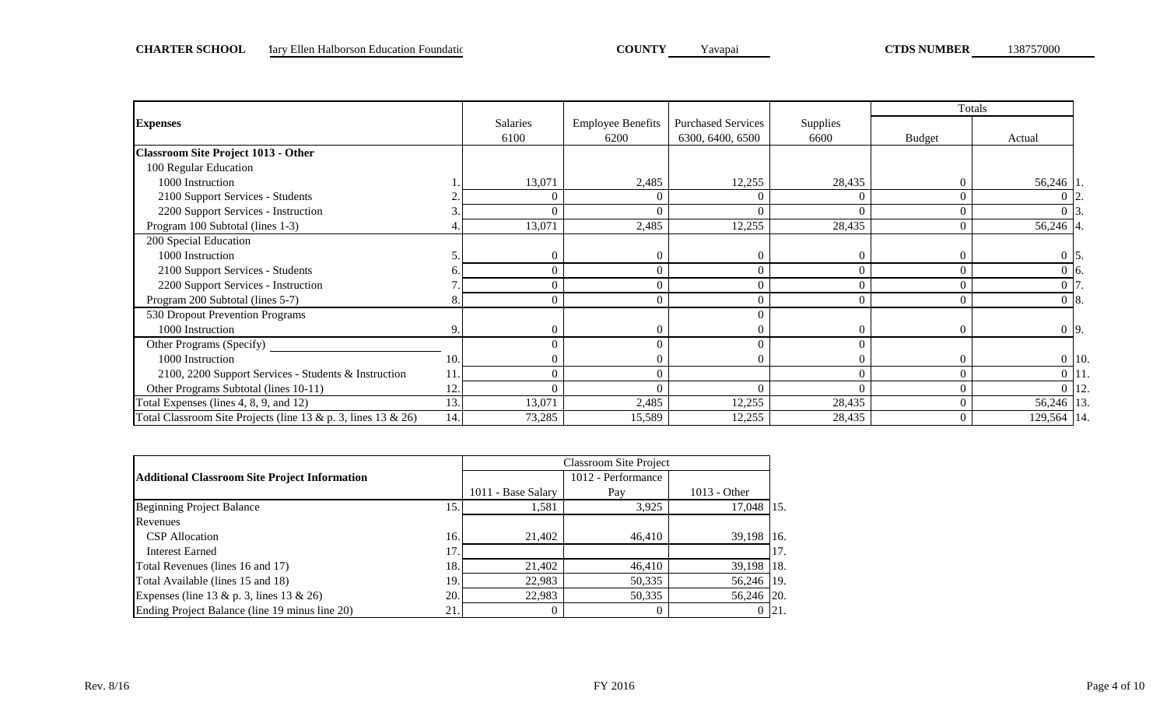|                                                                     |     |          |                          |                           |                 |               | Totals             |  |
|---------------------------------------------------------------------|-----|----------|--------------------------|---------------------------|-----------------|---------------|--------------------|--|
| <b>Expenses</b>                                                     |     | Salaries | <b>Employee Benefits</b> | <b>Purchased Services</b> | <b>Supplies</b> |               |                    |  |
|                                                                     |     | 6100     | 6200                     | 6300, 6400, 6500          | 6600            | <b>Budget</b> | Actual             |  |
| <b>Classroom Site Project 1013 - Other</b>                          |     |          |                          |                           |                 |               |                    |  |
| 100 Regular Education                                               |     |          |                          |                           |                 |               |                    |  |
| 1000 Instruction                                                    |     | 13,071   | 2,485                    | 12,255                    | 28,435          |               | 56,246 1           |  |
| 2100 Support Services - Students                                    |     | $\Omega$ | $\Omega$                 | $\bigcap$                 |                 |               |                    |  |
| 2200 Support Services - Instruction                                 |     |          |                          |                           |                 |               |                    |  |
| Program 100 Subtotal (lines 1-3)                                    |     | 13,071   | 2,485                    | 12,255                    | 28,435          |               | 56,246 4.          |  |
| 200 Special Education                                               |     |          |                          |                           |                 |               |                    |  |
| 1000 Instruction                                                    |     | $\theta$ |                          | $\Omega$                  | $\Omega$        |               | $0\,$ 5.           |  |
| 2100 Support Services - Students                                    |     | $\Omega$ |                          |                           |                 |               | $0\,$ 16.          |  |
| 2200 Support Services - Instruction                                 |     | $\Omega$ |                          |                           | $\Omega$        |               |                    |  |
| Program 200 Subtotal (lines 5-7)                                    |     | $\Omega$ |                          |                           |                 |               | $0\,$ 8.           |  |
| 530 Dropout Prevention Programs                                     |     |          |                          |                           |                 |               |                    |  |
| 1000 Instruction                                                    | 9.  | $\Omega$ | 0                        |                           | $\Omega$        |               | $0\overline{9}$ .  |  |
| Other Programs (Specify)                                            |     |          |                          |                           |                 |               |                    |  |
| 1000 Instruction                                                    | 10. |          |                          |                           |                 |               | $0$ 10.            |  |
| 2100, 2200 Support Services - Students & Instruction                | 11  | $\Omega$ |                          |                           | $\Omega$        |               | $0$   11.          |  |
| Other Programs Subtotal (lines 10-11)                               | 12. | $\Omega$ | 0                        | $\Omega$                  | $\Omega$        |               | $\overline{0}$ 12. |  |
| Total Expenses (lines 4, 8, 9, and 12)                              | 13. | 13,071   | 2,485                    | 12,255                    | 28,435          |               | 56,246 13.         |  |
| Total Classroom Site Projects (line $13 & p$ . 3, lines $13 & 26$ ) | 14. | 73,285   | 15,589                   | 12,255                    | 28,435          |               | 129,564 14.        |  |

|                                                      |     |                    | <b>Classroom Site Project</b> |                |              |
|------------------------------------------------------|-----|--------------------|-------------------------------|----------------|--------------|
| <b>Additional Classroom Site Project Information</b> |     |                    | 1012 - Performance            |                |              |
|                                                      |     | 1011 - Base Salary | Pay                           | $1013 - Other$ |              |
| Beginning Project Balance                            | 15  | 1,581              | 3,925                         | 17.048 115.    |              |
| Revenues                                             |     |                    |                               |                |              |
| <b>CSP</b> Allocation                                | 16. | 21,402             | 46,410                        | 39,198 16.     |              |
| <b>Interest Earned</b>                               | 17  |                    |                               |                | 117.         |
| Total Revenues (lines 16 and 17)                     | 18  | 21.402             | 46,410                        | 39,198   18.   |              |
| Total Available (lines 15 and 18)                    | 19  | 22.983             | 50,335                        | 56,246 19.     |              |
| Expenses (line 13 & p. 3, lines 13 & 26)             | 20. | 22.983             | 50,335                        | 56,246 20.     |              |
| Ending Project Balance (line 19 minus line 20)       | 21  |                    |                               |                | $0 \;   21.$ |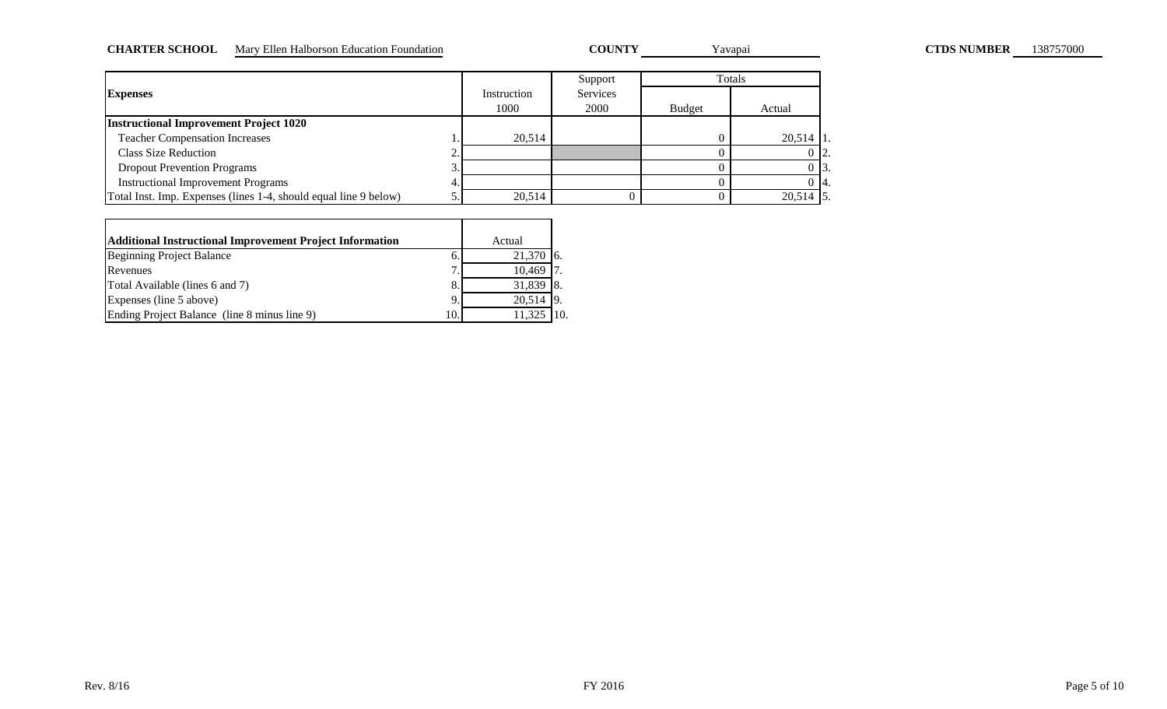#### CHARTER SCHOOL Mary Ellen Halborson Education Foundation **COUNTY** Yavapai **COUNTY** Yavapai **CTDS NUMBER** 138757000

COUNTY Yavapai

|                                                                  |             | Support  |               | Totals        |
|------------------------------------------------------------------|-------------|----------|---------------|---------------|
| <b>Expenses</b>                                                  | Instruction | Services |               |               |
|                                                                  | 1000        | 2000     | <b>Budget</b> | Actual        |
| <b>Instructional Improvement Project 1020</b>                    |             |          |               |               |
| <b>Teacher Compensation Increases</b>                            | 20.514      |          |               | $20,514$   1. |
| <b>Class Size Reduction</b><br>ـ.                                |             |          |               | 0 12.         |
| <b>Dropout Prevention Programs</b><br>J.                         |             |          |               | 0 13.         |
| <b>Instructional Improvement Programs</b>                        |             |          |               | 0 14.         |
| Total Inst. Imp. Expenses (lines 1-4, should equal line 9 below) | 20,514      |          |               | $20,514$ 5.   |

| <b>Additional Instructional Improvement Project Information</b> |    | Actual       |  |
|-----------------------------------------------------------------|----|--------------|--|
| Beginning Project Balance                                       |    | 21,370       |  |
| Revenues                                                        | ┑  | 10,469       |  |
| Total Available (lines 6 and 7)                                 |    | $31,839$ 8.  |  |
| Expenses (line 5 above)                                         | q  | $20,514$  9. |  |
| Ending Project Balance (line 8 minus line 9)                    | 10 |              |  |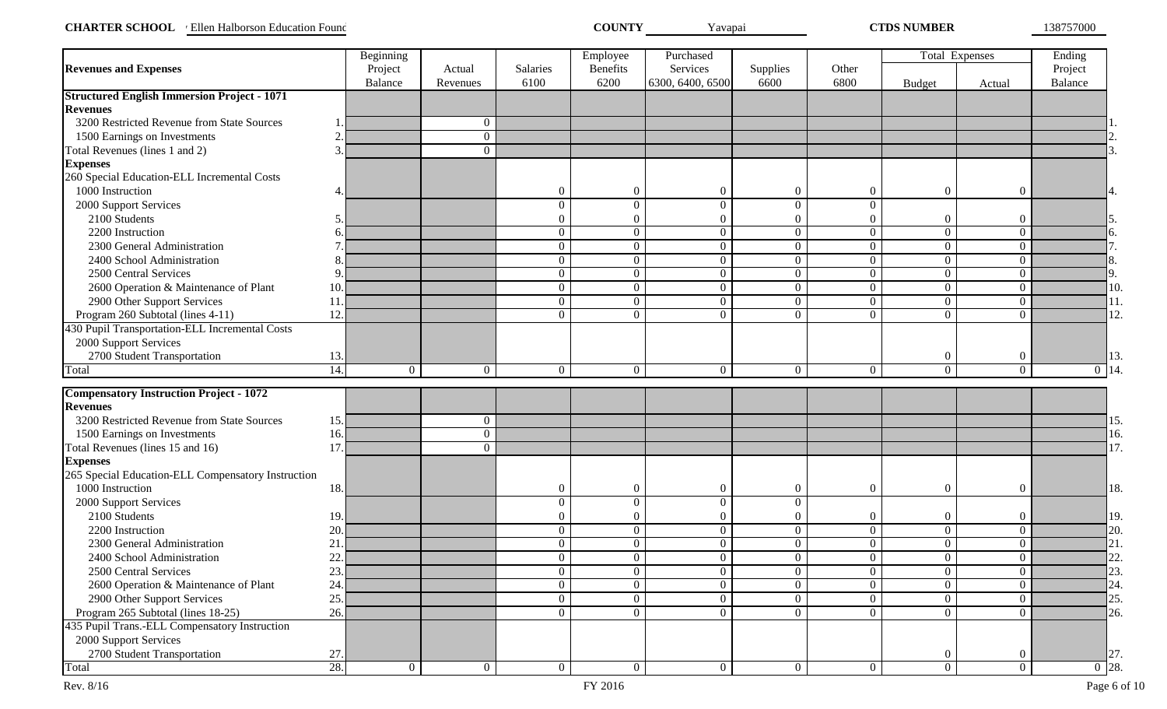| <b>CHARTER SCHOOL</b><br>Ellen Halborson Education Found | COUNTY | Y avapai | <b>CTDS NUMBER</b> | 138757000 |
|----------------------------------------------------------|--------|----------|--------------------|-----------|
|----------------------------------------------------------|--------|----------|--------------------|-----------|

|                                                                   |               | Beginning      |                |                | Employee         | Purchased        |                |                  | <b>Total Expenses</b> |                  | Ending             |
|-------------------------------------------------------------------|---------------|----------------|----------------|----------------|------------------|------------------|----------------|------------------|-----------------------|------------------|--------------------|
| <b>Revenues and Expenses</b>                                      |               | Project        | Actual         | Salaries       | <b>Benefits</b>  | Services         | Supplies       | Other            |                       |                  | Project            |
|                                                                   |               | <b>Balance</b> | Revenues       | 6100           | 6200             | 6300, 6400, 6500 | 6600           | 6800             | <b>Budget</b>         | Actual           | Balance            |
| <b>Structured English Immersion Project - 1071</b>                |               |                |                |                |                  |                  |                |                  |                       |                  |                    |
| <b>Revenues</b>                                                   |               |                |                |                |                  |                  |                |                  |                       |                  |                    |
| 3200 Restricted Revenue from State Sources                        |               |                | $\overline{0}$ |                |                  |                  |                |                  |                       |                  |                    |
| 1500 Earnings on Investments                                      | ി             |                | $\overline{0}$ |                |                  |                  |                |                  |                       |                  |                    |
| Total Revenues (lines 1 and 2)                                    | $\mathcal{R}$ |                | $\Omega$       |                |                  |                  |                |                  |                       |                  |                    |
| <b>Expenses</b>                                                   |               |                |                |                |                  |                  |                |                  |                       |                  |                    |
| 260 Special Education-ELL Incremental Costs                       |               |                |                |                |                  |                  |                |                  |                       |                  |                    |
| 1000 Instruction                                                  |               |                |                | $\Omega$       | $\theta$         | $\boldsymbol{0}$ | $\overline{0}$ | $\boldsymbol{0}$ | $\boldsymbol{0}$      | $\overline{0}$   | 4.                 |
| 2000 Support Services                                             |               |                |                | $\theta$       | $\overline{0}$   | $\Omega$         | $\overline{0}$ | $\Omega$         |                       |                  |                    |
| 2100 Students                                                     |               |                |                | $\Omega$       | $\theta$         | $\theta$         | $\theta$       | $\overline{0}$   | $\boldsymbol{0}$      | $\theta$         |                    |
| 2200 Instruction                                                  |               |                |                | $\overline{0}$ | $\boldsymbol{0}$ | $\overline{0}$   | $\overline{0}$ | $\overline{0}$   | $\overline{0}$        | $\theta$         | 6.                 |
| 2300 General Administration                                       |               |                |                | $\overline{0}$ | $\overline{0}$   | $\overline{0}$   | $\overline{0}$ | $\overline{0}$   | $\overline{0}$        | $\theta$         |                    |
| 2400 School Administration                                        |               |                |                | $\overline{0}$ | $\overline{0}$   | $\overline{0}$   | $\overline{0}$ | $\overline{0}$   | $\overline{0}$        | $\overline{0}$   | 8.                 |
| 2500 Central Services                                             |               |                |                | $\overline{0}$ | $\overline{0}$   | $\overline{0}$   | $\overline{0}$ | $\overline{0}$   | $\overline{0}$        | $\theta$         | 9.                 |
| 2600 Operation & Maintenance of Plant                             | 10            |                |                | $\overline{0}$ | $\overline{0}$   | $\overline{0}$   | $\overline{0}$ | $\overline{0}$   | $\mathbf{0}$          | $\theta$         | 10.                |
| 2900 Other Support Services                                       | 11            |                |                | $\overline{0}$ | $\mathbf{0}$     | $\overline{0}$   | $\overline{0}$ | $\overline{0}$   | $\overline{0}$        | $\theta$         | 11.                |
| Program 260 Subtotal (lines 4-11)                                 | 12            |                |                | $\Omega$       | $\overline{0}$   | $\theta$         | $\theta$       | $\Omega$         | $\Omega$              | $\theta$         | 12.                |
| 430 Pupil Transportation-ELL Incremental Costs                    |               |                |                |                |                  |                  |                |                  |                       |                  |                    |
| 2000 Support Services                                             |               |                |                |                |                  |                  |                |                  |                       |                  |                    |
| 2700 Student Transportation                                       | 13.           |                |                |                |                  |                  |                |                  | $\boldsymbol{0}$      | $\overline{0}$   | 13.                |
| Total                                                             | 14            | $\theta$       | $\overline{0}$ | $\overline{0}$ | $\mathbf{0}$     | $\Omega$         | $\overline{0}$ | $\overline{0}$   | $\overline{0}$        | $\theta$         | $\overline{0}$ 14. |
|                                                                   |               |                |                |                |                  |                  |                |                  |                       |                  |                    |
| <b>Compensatory Instruction Project - 1072</b><br><b>Revenues</b> |               |                |                |                |                  |                  |                |                  |                       |                  |                    |
| 3200 Restricted Revenue from State Sources                        | 15.           |                | $\overline{0}$ |                |                  |                  |                |                  |                       |                  | 15.                |
| 1500 Earnings on Investments                                      | 16            |                | $\overline{0}$ |                |                  |                  |                |                  |                       |                  | 16.                |
| Total Revenues (lines 15 and 16)                                  | 17            |                | $\Omega$       |                |                  |                  |                |                  |                       |                  | 17.                |
| <b>Expenses</b>                                                   |               |                |                |                |                  |                  |                |                  |                       |                  |                    |
| 265 Special Education-ELL Compensatory Instruction                |               |                |                |                |                  |                  |                |                  |                       |                  |                    |
| 1000 Instruction                                                  | 18.           |                |                | $\overline{0}$ | $\boldsymbol{0}$ | $\boldsymbol{0}$ | $\overline{0}$ | $\boldsymbol{0}$ | $\overline{0}$        | $\overline{0}$   | 18.                |
| 2000 Support Services                                             |               |                |                | $\theta$       | $\mathbf{0}$     | $\overline{0}$   | $\overline{0}$ |                  |                       |                  |                    |
| 2100 Students                                                     | 19            |                |                | $\overline{0}$ | $\overline{0}$   | $\overline{0}$   | $\overline{0}$ | $\mathbf{0}$     | $\overline{0}$        | $\boldsymbol{0}$ | 19.                |
| 2200 Instruction                                                  | 20            |                |                | $\overline{0}$ | $\mathbf{0}$     | $\overline{0}$   | $\overline{0}$ | $\overline{0}$   | $\overline{0}$        | $\theta$         | 20.                |
| 2300 General Administration                                       | 21            |                |                | $\overline{0}$ | $\boldsymbol{0}$ | $\overline{0}$   | $\overline{0}$ | $\overline{0}$   | $\overline{0}$        | $\overline{0}$   | 21.                |
| 2400 School Administration                                        | 22            |                |                | $\overline{0}$ | $\overline{0}$   | $\overline{0}$   | $\overline{0}$ | $\overline{0}$   | $\overline{0}$        | $\overline{0}$   | 22.                |
| 2500 Central Services                                             | 23.           |                |                | $\overline{0}$ | $\overline{0}$   | $\overline{0}$   | $\overline{0}$ | $\overline{0}$   | $\overline{0}$        | $\overline{0}$   | 23.                |
| 2600 Operation & Maintenance of Plant                             | 24.           |                |                | $\overline{0}$ | $\overline{0}$   | $\overline{0}$   | $\overline{0}$ | $\overline{0}$   | $\overline{0}$        | $\overline{0}$   | 24.                |
| 2900 Other Support Services                                       | 25            |                |                | $\overline{0}$ | $\overline{0}$   | $\overline{0}$   | $\overline{0}$ | $\overline{0}$   | $\overline{0}$        | $\overline{0}$   | 25.                |
| Program 265 Subtotal (lines 18-25)                                | 26.           |                |                | $\overline{0}$ | $\overline{0}$   | $\overline{0}$   | $\overline{0}$ | $\overline{0}$   | $\overline{0}$        | $\overline{0}$   | 26.                |
| 435 Pupil Trans.-ELL Compensatory Instruction                     |               |                |                |                |                  |                  |                |                  |                       |                  |                    |
| 2000 Support Services                                             |               |                |                |                |                  |                  |                |                  |                       |                  |                    |
| 2700 Student Transportation                                       | 27.           |                |                |                |                  |                  |                |                  | $\boldsymbol{0}$      | $\boldsymbol{0}$ | 27.                |
| Total                                                             | 28.           | $\overline{0}$ | $\overline{0}$ | $\overline{0}$ | $\overline{0}$   | $\overline{0}$   | $\overline{0}$ | $\overline{0}$   | $\overline{0}$        | $\overline{0}$   | $\overline{0}$ 28. |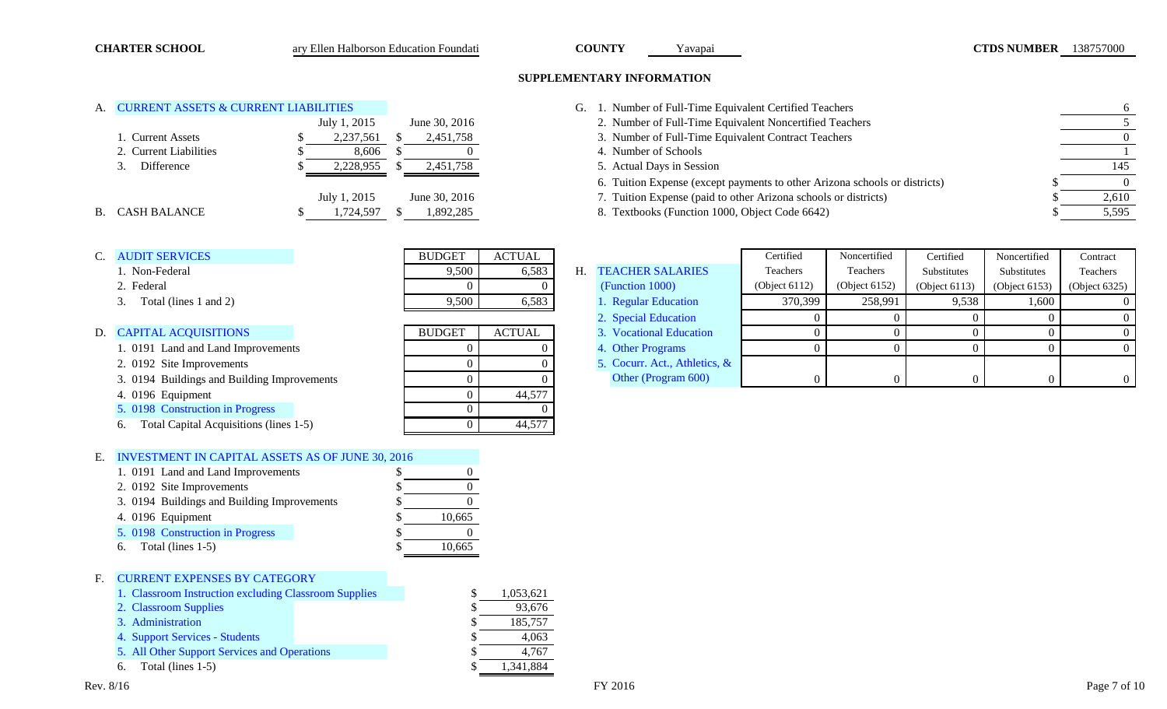### **SUPPLEMENTARY INFORMATION**

| A. CURRENT ASSETS & CURRENT LIABILITIES |
|-----------------------------------------|
|                                         |

|                        | July 1, 2015<br>June 30, 2016 | . Number of Full-Time Equivalent Noncertified Teachers                     |       |
|------------------------|-------------------------------|----------------------------------------------------------------------------|-------|
| . Current Assets       | 2,237,561<br>2,451,758        | 3. Number of Full-Time Equivalent Contract Teachers                        |       |
| 2. Current Liabilities | 8.606                         | Number of Schools                                                          |       |
| Difference             | 2,228,955<br>2,451,758        | 5. Actual Days in Session                                                  | 145   |
|                        |                               | 6. Tuition Expense (except payments to other Arizona schools or districts) |       |
|                        | July 1, 2015<br>June 30, 2016 | 7. Tuition Expense (paid to other Arizona schools or districts)            | 2.610 |
| B. CASH BALANCE        | 1.892.285<br>.724.597         | 8. Textbooks (Function 1000, Object Code 6642)                             | 5,595 |

| C. AUDIT SERVICES |
|-------------------|
|-------------------|

- 
- 
- 

- 1. 0191 Land and Land Improvements 0 0 0 [4.](#page-15-2) [Other Programs](#page-15-2)
- 2. 0192 Site Improvements
- 3. 0194 Buildings and Building Improvements
- 4. 0196 Equipment
- [5. 0198 Construction in Progress](#page-13-2)
- 6. Total Capital Acquisitions (lines 1-5)

## E. [INVESTMENT IN CAPITAL ASSETS AS OF JUNE 30, 2016](#page-13-3)

|   | 1. 0191 Land and Land Improvements          |        |  |
|---|---------------------------------------------|--------|--|
|   | 2. 0192 Site Improvements                   |        |  |
|   | 3. 0194 Buildings and Building Improvements |        |  |
|   | 4. 0196 Equipment                           | 10,665 |  |
|   | 5. 0198 Construction in Progress            |        |  |
|   | Total (lines 1-5)<br>6.                     | 10,665 |  |
|   |                                             |        |  |
| F | <b>CURRENT EXPENSES BY CATEGORY</b>         |        |  |
|   |                                             |        |  |

#### [1. Classroom Instruction excluding Classroom Supplies](#page-14-3)  $$ 1,053,621$

- [2. Classroom Supplies](#page-14-4)  $\qquad \qquad$  93,676
- [3. Administration](#page-14-5)  $\sqrt{3}$  185,757
- [4. Support Services Students](#page-14-6)  $\sqrt{3}$  4,063
- [5. All Other Support Services and Operations](#page-14-7)  $\sqrt{3}$  4,767
- 6. Total (lines 1-5)  $\sqrt{3}$  1,341,884

| <b>ACTUAL</b> |  |
|---------------|--|
| 6,583         |  |
|               |  |
| 6.583         |  |
|               |  |

| D. CAPITAL ACQUISITIONS                      | <b>BUDGET</b> | <b>ACTUAL</b> | 3. Vocational Education    |
|----------------------------------------------|---------------|---------------|----------------------------|
| 1. 0191 Land and Land Improvements           |               |               | 4. Other Programs          |
| 2. 0192 Site Improvements                    |               |               | 5. Cocurr. Act., Athletics |
| 3. 0194 Buildings and Building Improvements  |               |               | Other (Program 600)        |
| 4. 0196 Equipment                            |               | 44.577        |                            |
| 5. 0198 Construction in Progress             |               |               |                            |
| Total Capital Acquisitions (lines 1-5)<br>6. |               | 44.577        |                            |
|                                              |               |               |                            |

<span id="page-7-0"></span>

| A. CURRENT ASSETS & CURRENT LIABILITIES | ' Number of Full-Time Equivalent Certified Teachers |
|-----------------------------------------|-----------------------------------------------------|

- 2. Number of Full-Time Equivalent Noncertified Teachers 5
- 1. Number of Full-Time Equivalent Contract Teachers 0.
- 
- $\overline{3}$ . Actual Days in Session 145
- 6. Tuition Expense (except payments to other Arizona schools or districts) \$ 0
- 7. Tuition Expense (paid to other Arizona schools or districts)  $\qquad$   $\qquad$   $\qquad$   $\qquad$  2,610
- 

| н. | <b>TEACHER SALARIES</b> |  |
|----|-------------------------|--|
|    | (Function 1000)         |  |
|    | 1. Regular Education    |  |
|    | 2 Special Education     |  |

| C. AUDIT SERVICES                           | <b>BUDGET</b> | <b>ACTUAL</b> |                               | Certified        | Noncertified     | Certified        | Noncertified     | Contract      |
|---------------------------------------------|---------------|---------------|-------------------------------|------------------|------------------|------------------|------------------|---------------|
| 1. Non-Federal                              | 9,500         | 6,583         | H. TEACHER SALARIES           | Teachers         | Teachers         | Substitutes      | Substitutes      | Teachers      |
| 2. Federal                                  |               |               | (Function 1000)               | (Object $6112$ ) | (Object $6152$ ) | (Object $6113$ ) | (Object $6153$ ) | (Object 6325) |
| Total (lines 1 and 2)                       | 9,500         | 6,583         | 1. Regular Education          | 370,399          | 258.991          | 9.538            | 1,600            |               |
|                                             |               |               | 2. Special Education          |                  |                  |                  |                  |               |
| D. CAPITAL ACQUISITIONS                     | <b>BUDGET</b> | <b>ACTUAL</b> | 3. Vocational Education       |                  |                  |                  |                  |               |
| 1. 0191 Land and Land Improvements          |               |               | 4. Other Programs             |                  |                  |                  |                  |               |
| 2. 0192 Site Improvements                   |               |               | 5. Cocurr. Act., Athletics, & |                  |                  |                  |                  |               |
| 3. 0194 Buildings and Building Improvements |               |               | Other (Program 600)           |                  |                  |                  |                  |               |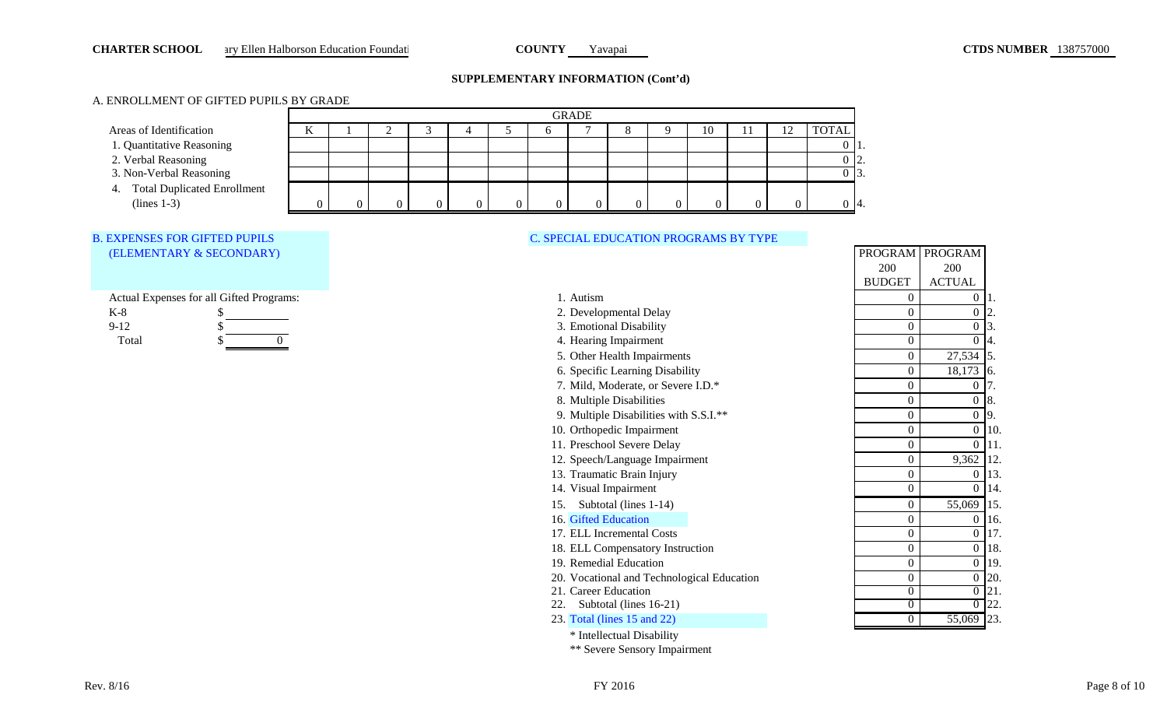### <span id="page-8-0"></span>**CHARTER SCHOOL** ary Ellen Halborson Education Foundati **COUNTY** Yavapai **Yavapai COUNTY** Yavapai **CTDS NUMBER** 138757000

### **SUPPLEMENTARY INFORMATION (Cont'd)**

## A. ENROLLMENT OF GIFTED PUPILS BY GRADE

|                                |    | <b>GRADE</b> |  |  |  |  |   |  |  |  |    |  |  |                 |
|--------------------------------|----|--------------|--|--|--|--|---|--|--|--|----|--|--|-----------------|
| Areas of Identification        | 17 |              |  |  |  |  |   |  |  |  | 10 |  |  | <b>TOTAL</b>    |
| 1. Quantitative Reasoning      |    |              |  |  |  |  |   |  |  |  |    |  |  |                 |
| 2. Verbal Reasoning            |    |              |  |  |  |  |   |  |  |  |    |  |  | -12.            |
| 3. Non-Verbal Reasoning        |    |              |  |  |  |  |   |  |  |  |    |  |  | $\mathbf{13}$ . |
| 4. Total Duplicated Enrollment |    |              |  |  |  |  |   |  |  |  |    |  |  |                 |
| $(lines 1-3)$                  |    |              |  |  |  |  | 0 |  |  |  |    |  |  | $\vert 4.$      |

### [C. SPECIAL EDUCATION PROGRAMS BY TYPE](#page-15-4)

|          | Actual Expenses for all Gifted Programs: |
|----------|------------------------------------------|
| K-8      |                                          |
| $9 - 12$ |                                          |

[B. EXPENSES FOR GIFTED PUPILS](#page-15-5)  [\(ELEMENTARY & SECONDARY\)](#page-15-5)



| Actual Expenses for all Gifted Programs: | 1. Autism                                  | $\Omega$       | $0\vert 1.$        |     |
|------------------------------------------|--------------------------------------------|----------------|--------------------|-----|
| K-8                                      | 2. Developmental Delay                     |                | $\overline{0}$     |     |
| $9-12$                                   | 3. Emotional Disability                    |                | 0                  |     |
| Total                                    | 4. Hearing Impairment                      |                | $\overline{0}$     | 14. |
|                                          | 5. Other Health Impairments                |                | 27,534 5.          |     |
|                                          | 6. Specific Learning Disability            |                | 18,173 6.          |     |
|                                          | 7. Mild, Moderate, or Severe I.D.*         |                | 0                  |     |
|                                          | 8. Multiple Disabilities                   |                | $0\,$ 8.           |     |
|                                          | 9. Multiple Disabilities with S.S.I.**     |                | $0\overline{9}$ .  |     |
|                                          | 10. Orthopedic Impairment                  |                | $0$ 10.            |     |
|                                          | 11. Preschool Severe Delay                 |                | $0$   11.          |     |
|                                          | 12. Speech/Language Impairment             |                | 9,362 12.          |     |
|                                          | 13. Traumatic Brain Injury                 |                | $0 \vert 13.$      |     |
|                                          | 14. Visual Impairment                      |                | $\overline{0}$     | 14. |
|                                          | Subtotal (lines 1-14)<br>15.               |                | 55,069 15.         |     |
|                                          | 16. Gifted Education                       |                | $0$ 16.            |     |
|                                          | 17. ELL Incremental Costs                  |                | $0$ 17.            |     |
|                                          | 18. ELL Compensatory Instruction           |                | $0$ 18.            |     |
|                                          | 19. Remedial Education                     |                | $0$ 19.            |     |
|                                          | 20. Vocational and Technological Education |                | $0\,20.$           |     |
|                                          | 21. Career Education                       |                | $\overline{0}$ 21. |     |
|                                          | Subtotal (lines 16-21)                     |                | $\overline{0}$ 22. |     |
|                                          | 23. Total (lines 15 and 22)                | $\overline{0}$ | 55,069 23.         |     |

| v                | v                | ı.             |
|------------------|------------------|----------------|
| $\overline{0}$   | $\overline{0}$   | 2.             |
| $\boldsymbol{0}$ | $\overline{0}$   | 3.             |
| $\overline{0}$   | $\overline{0}$   | 4.             |
| $\overline{0}$   | 27,534           | 5.             |
| $\boldsymbol{0}$ | 18,173           | 6.             |
| $\overline{0}$   | $\overline{0}$   | 7.             |
| $\boldsymbol{0}$ | $\boldsymbol{0}$ | 8.             |
| $\overline{0}$   | $\overline{0}$   | 9.             |
| $\overline{0}$   | $\overline{0}$   | 10.            |
| $\boldsymbol{0}$ | $\overline{0}$   | 11.            |
| $\overline{0}$   | 9,362            | 12.            |
| $\boldsymbol{0}$ | $\boldsymbol{0}$ | 13.            |
| $\overline{0}$   | $\overline{0}$   | 14.            |
| $\overline{0}$   | 55,069           | 15.            |
| $\overline{0}$   | $\boldsymbol{0}$ | 16.            |
| $\overline{0}$   | $\overline{0}$   | 17.            |
| $\boldsymbol{0}$ | $\boldsymbol{0}$ | 18.            |
| $\overline{0}$   | $\overline{0}$   | 19.            |
| $\boldsymbol{0}$ | $\overline{0}$   | 20.            |
| $\rm 0$          | $\rm 0$          | 21             |
| 0                | 0                | $\mathfrak{D}$ |

PROGRAM PROGRAM

200 ACTUAL

200 BUDGET

\* Intellectual Disability \*\* Severe Sensory Impairment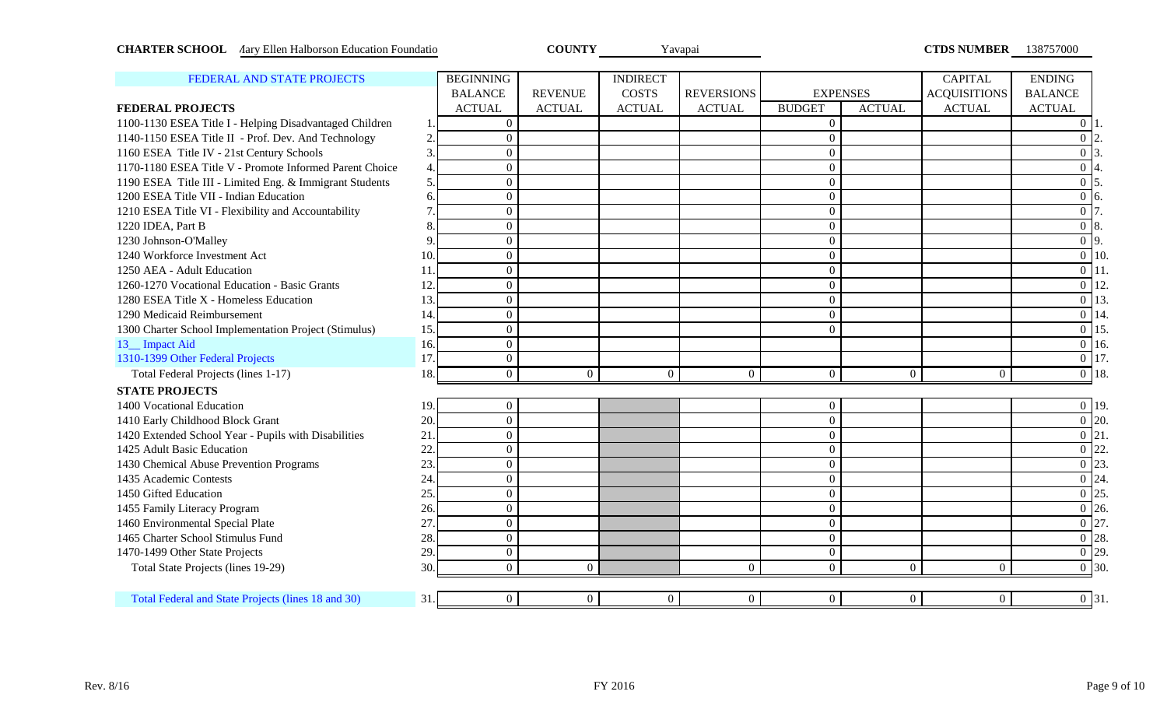<span id="page-9-0"></span>

| <b>CHARTER SCHOOL</b> Aary Ellen Halborson Education Foundatio |     |                  | <b>COUNTY</b>  |                 | Yavapai           |                |                 | <b>CTDS NUMBER</b> 138757000 |                     |
|----------------------------------------------------------------|-----|------------------|----------------|-----------------|-------------------|----------------|-----------------|------------------------------|---------------------|
| FEDERAL AND STATE PROJECTS                                     |     | <b>BEGINNING</b> |                | <b>INDIRECT</b> |                   |                |                 | <b>CAPITAL</b>               | <b>ENDING</b>       |
|                                                                |     | <b>BALANCE</b>   | <b>REVENUE</b> | <b>COSTS</b>    | <b>REVERSIONS</b> |                | <b>EXPENSES</b> | <b>ACQUISITIONS</b>          | <b>BALANCE</b>      |
| <b>FEDERAL PROJECTS</b>                                        |     | <b>ACTUAL</b>    | <b>ACTUAL</b>  | <b>ACTUAL</b>   | <b>ACTUAL</b>     | <b>BUDGET</b>  | <b>ACTUAL</b>   | <b>ACTUAL</b>                | <b>ACTUAL</b>       |
| 1100-1130 ESEA Title I - Helping Disadvantaged Children        |     | $\mathbf{0}$     |                |                 |                   | $\overline{0}$ |                 |                              | $\Omega$            |
| 1140-1150 ESEA Title II - Prof. Dev. And Technology            | 2.  | $\Omega$         |                |                 |                   | $\overline{0}$ |                 |                              | $\overline{0}$      |
| 1160 ESEA Title IV - 21st Century Schools                      | 3.  | $\overline{0}$   |                |                 |                   | $\overline{0}$ |                 |                              | $0\vert 3$          |
| 1170-1180 ESEA Title V - Promote Informed Parent Choice        | 4.  | $\Omega$         |                |                 |                   | $\overline{0}$ |                 |                              | $\overline{0}$      |
| 1190 ESEA Title III - Limited Eng. & Immigrant Students        | 5.  | $\Omega$         |                |                 |                   | $\overline{0}$ |                 |                              | $\overline{0}$   5. |
| 1200 ESEA Title VII - Indian Education                         | б.  | $\overline{0}$   |                |                 |                   | $\overline{0}$ |                 |                              | $\overline{0}$ 6.   |
| 1210 ESEA Title VI - Flexibility and Accountability            | 7   | $\overline{0}$   |                |                 |                   | $\mathbf{0}$   |                 |                              | $\overline{0}$ 7.   |
| 1220 IDEA, Part B                                              | 8   | $\Omega$         |                |                 |                   | $\mathbf{0}$   |                 |                              | $\overline{0}$ 8.   |
| 1230 Johnson-O'Malley                                          | 9   | $\Omega$         |                |                 |                   | $\overline{0}$ |                 |                              | $\overline{0}$ 9.   |
| 1240 Workforce Investment Act                                  | 10  | $\overline{0}$   |                |                 |                   | $\overline{0}$ |                 |                              | $\overline{0}$ 10.  |
| 1250 AEA - Adult Education                                     | 11  | $\overline{0}$   |                |                 |                   | $\overline{0}$ |                 |                              | $\overline{0}$ 11.  |
| 1260-1270 Vocational Education - Basic Grants                  | 12  | $\overline{0}$   |                |                 |                   | $\overline{0}$ |                 |                              | $\overline{0}$ 12.  |
| 1280 ESEA Title X - Homeless Education                         | 13. | $\overline{0}$   |                |                 |                   | $\overline{0}$ |                 |                              | $\overline{0}$ 13.  |
| 1290 Medicaid Reimbursement                                    | 14. | $\overline{0}$   |                |                 |                   | $\overline{0}$ |                 |                              | $\overline{0}$ 14.  |
| 1300 Charter School Implementation Project (Stimulus)          | 15. | $\overline{0}$   |                |                 |                   | $\mathbf{0}$   |                 |                              | $\overline{0}$ 15.  |
| 13_ Impact Aid                                                 | 16. | $\overline{0}$   |                |                 |                   |                |                 |                              | $\overline{0}$ 16.  |
| 1310-1399 Other Federal Projects                               | 17. | $\overline{0}$   |                |                 |                   |                |                 |                              | $\overline{0}$ 17.  |
| Total Federal Projects (lines 1-17)                            | 18. | $\overline{0}$   | $\overline{0}$ | $\overline{0}$  | $\overline{0}$    | $\overline{0}$ | $\overline{0}$  | $\overline{0}$               | $\overline{0}$ 18.  |
| <b>STATE PROJECTS</b>                                          |     |                  |                |                 |                   |                |                 |                              |                     |
| 1400 Vocational Education                                      | 19. | $\Omega$         |                |                 |                   | $\overline{0}$ |                 |                              | $\overline{0}$ 19.  |
| 1410 Early Childhood Block Grant                               | 20  | $\mathbf{0}$     |                |                 |                   | $\overline{0}$ |                 |                              | $\overline{0}$ 20.  |
| 1420 Extended School Year - Pupils with Disabilities           | 21  | $\mathbf{0}$     |                |                 |                   | $\overline{0}$ |                 |                              | $\overline{0}$ 21.  |
| 1425 Adult Basic Education                                     | 22  | $\overline{0}$   |                |                 |                   | $\overline{0}$ |                 |                              | $\overline{0}$ 22.  |
| 1430 Chemical Abuse Prevention Programs                        | 23. | $\overline{0}$   |                |                 |                   | $\overline{0}$ |                 |                              | $\overline{0}$ 23.  |
| 1435 Academic Contests                                         | 24  | $\overline{0}$   |                |                 |                   | $\overline{0}$ |                 |                              | $\overline{0}$ 24.  |
| 1450 Gifted Education                                          | 25  | $\Omega$         |                |                 |                   | $\overline{0}$ |                 |                              | $\overline{0}$ 25.  |
| 1455 Family Literacy Program                                   | 26. | $\overline{0}$   |                |                 |                   | $\overline{0}$ |                 |                              | $\overline{0}$ 26.  |
| 1460 Environmental Special Plate                               | 27  | $\overline{0}$   |                |                 |                   | $\overline{0}$ |                 |                              | $\overline{0}$ 27   |
| 1465 Charter School Stimulus Fund                              | 28. | $\overline{0}$   |                |                 |                   | $\overline{0}$ |                 |                              | $\overline{0}$ 28.  |
| 1470-1499 Other State Projects                                 | 29  | $\overline{0}$   |                |                 |                   | $\overline{0}$ |                 |                              | $\overline{0}$ 29.  |
| Total State Projects (lines 19-29)                             | 30  | $\overline{0}$   | $\overline{0}$ |                 | $\overline{0}$    | $\overline{0}$ | $\overline{0}$  | $\Omega$                     | $\overline{0}$ 30.  |

 [Total Federal and State Projects \(lines 18 and 30\)](#page-15-8) 31. 0 0 0 0 0 0 0 0 31.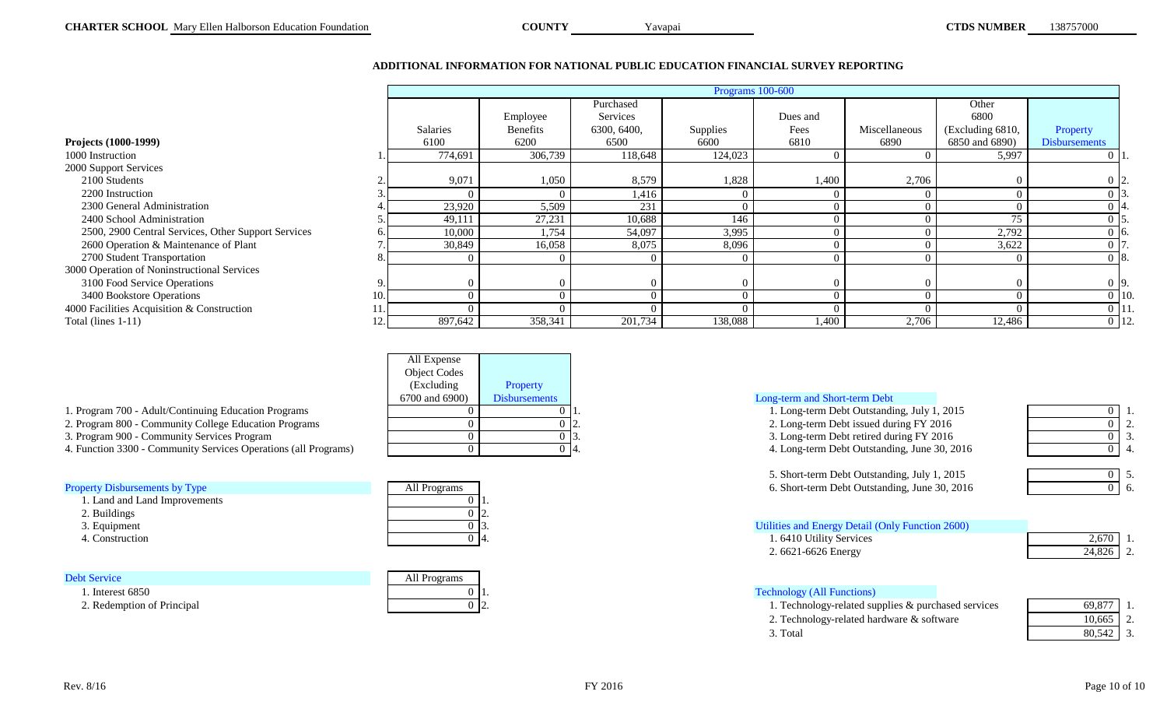## **ADDITIONAL INFORMATION FOR NATIONAL PUBLIC EDUCATION FINANCIAL SURVEY REPORTING**

Yavapai

<span id="page-10-0"></span>

|                                                     | Programs 100-600 |                 |             |          |          |               |                  |                      |
|-----------------------------------------------------|------------------|-----------------|-------------|----------|----------|---------------|------------------|----------------------|
|                                                     |                  |                 | Purchased   |          |          |               | Other            |                      |
|                                                     |                  | Employee        | Services    |          | Dues and |               | 6800             |                      |
|                                                     | Salaries         | <b>Benefits</b> | 6300, 6400, | Supplies | Fees     | Miscellaneous | (Excluding 6810, | Property             |
| Projects (1000-1999)                                | 6100             | 6200            | 6500        | 6600     | 6810     | 6890          | 6850 and 6890)   | <b>Disbursements</b> |
| 1000 Instruction                                    | 774,691          | 306,739         | 118,648     | 124,023  |          |               | 5,997            |                      |
| 2000 Support Services                               |                  |                 |             |          |          |               |                  |                      |
| 2100 Students                                       | 9,071            | 1,050           | 8,579       | 1,828    | 1,400    | 2,706         |                  |                      |
| 2200 Instruction                                    |                  |                 | 1,416       |          |          |               |                  | 013.                 |
| 2300 General Administration                         | 23,920           | 5,509           | 231         |          |          |               |                  |                      |
| 2400 School Administration                          | 49,111           | 27,231          | 10,688      | 146      |          |               | 75               |                      |
| 2500, 2900 Central Services, Other Support Services | 10,000           | 1,754           | 54,097      | 3,995    |          |               | 2,792            | -16.                 |
| 2600 Operation & Maintenance of Plant               | 30,849           | 16,058          | 8,075       | 8,096    |          |               | 3,622            |                      |
| 2700 Student Transportation                         |                  |                 |             |          |          |               |                  | $0\,$ 8.             |
| 3000 Operation of Noninstructional Services         |                  |                 |             |          |          |               |                  |                      |
| 3100 Food Service Operations                        |                  |                 |             |          |          |               |                  | 0.19.                |
| 3400 Bookstore Operations                           | C                |                 |             |          |          |               |                  | $0$ 10.              |
| 4000 Facilities Acquisition & Construction          | ſ                |                 |             |          |          |               |                  | 0 11                 |
| Total (lines $1-11$ )                               | 897,642          | 358,341         | 201,734     | 138,088  | 1,400    | 2,706         | 12,486           | $0 \vert 12.$        |

| All Expense         |                      |                                     |
|---------------------|----------------------|-------------------------------------|
| <b>Object Codes</b> |                      |                                     |
| (Excluding)         | <b>Property</b>      |                                     |
| 6700 and 6900)      | <b>Disbursements</b> | Long-term and Short-term Debt       |
|                     |                      | 1. Long-term Debt Outstand:         |
|                     |                      | 2. Long-term Debt issued du         |
|                     |                      | 3. Long-term Debt retired du<br>۱Ć. |
|                     |                      | 4. Long-term Debt Outstand<br>14.   |
|                     |                      |                                     |

| 1. Program 700 - Adult/Continuing Education Programs |  |
|------------------------------------------------------|--|
|                                                      |  |

- 2. Program 800 Community College Education Programs
- 3. Program 900 Community Services Program

4. Function 3300 - Community Services Operations (all Programs)

 1. Land and Land Improvements 2. Buildings 3. Equipment 4. Construction

| All Programs |  |
|--------------|--|
|              |  |
|              |  |
|              |  |
|              |  |

| <b>Debt Service</b>        | All Programs |
|----------------------------|--------------|
| 1. Interest 6850           |              |
| 2. Redemption of Principal |              |

| Long-term and Short-term Debt |  |
|-------------------------------|--|
|-------------------------------|--|

 $0 \mid 0 \mid 1.$   $0 \mid 1.$   $1.$  Long-term Debt Outstanding, July 1, 2015  $0 \mid 1.$  $0 \mid 0 \mid 2.$   $0 \mid 2.$   $2.$  Long-term Debt issued during FY 2016  $0 \mid 2.$  $0 \mid 0 \mid 3.$  0 3. Long-term Debt retired during FY 2016  $0 \mid 3.$  $0 \mid 0 \mid 4.$  0 4. [Property Disbursements by Type](#page-16-1) **All Property All Property All Property All Property All Property Disbursements by Type 1990 1 6. Short-term Debt Outstanding, June 30, 2016 16.** [Utilities and Energy Detail \(Only Function 2600\)](#page-17-1) 0 4. 2,670 1. 6410 Utility Services 2,670 1. 24,826 2. 5. Short-term Debt Outstanding, July 1, 2015 2. 6621-6626 Energy

# 1. [Technology \(All Functions\)](#page-17-2)

|          | 69.877<br>1. Technology-related supplies & purchased services |  |
|----------|---------------------------------------------------------------|--|
|          | 2. Technology-related hardware & software<br>0.665            |  |
| 3. Total |                                                               |  |

| 69,877 |  |
|--------|--|
| 10,665 |  |
| 80,542 |  |

 $\overline{0}$  5.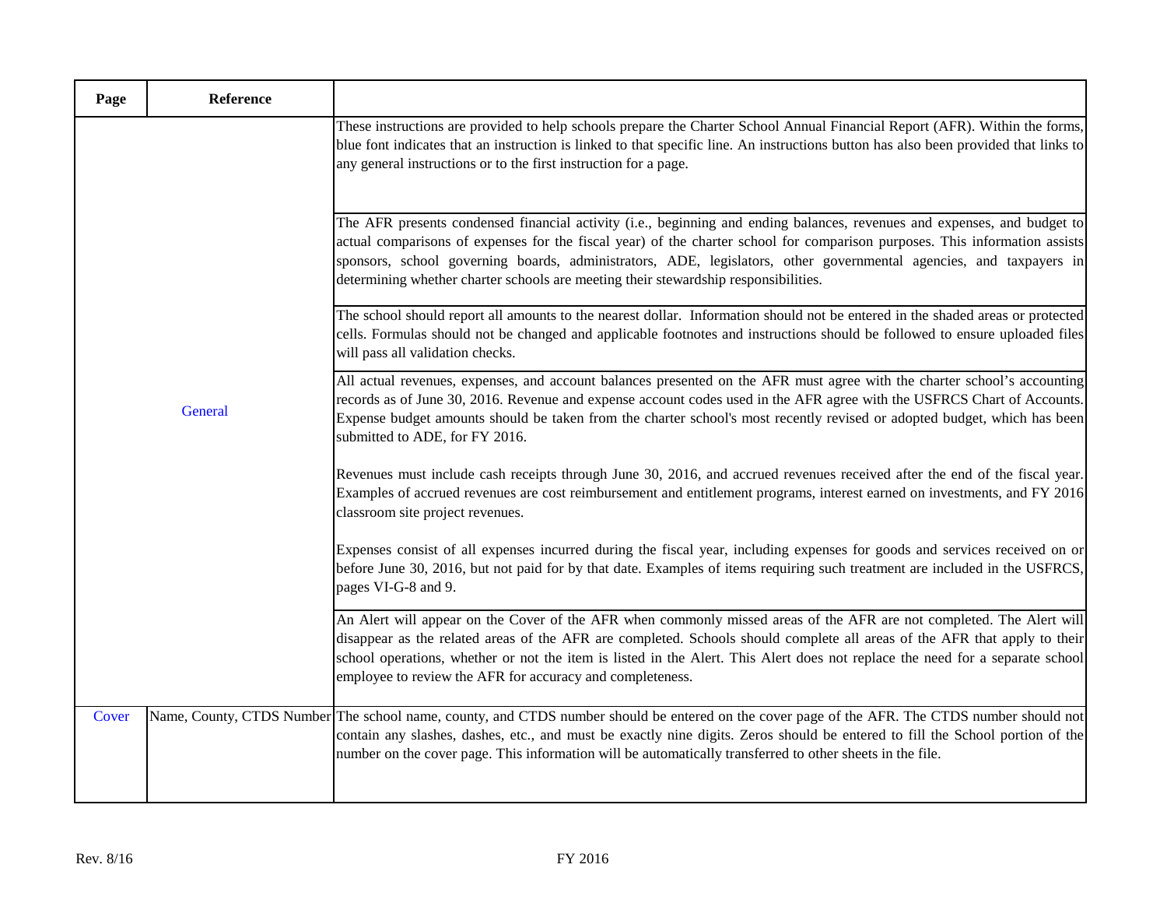| Page    | Reference |                                                                                                                                                                                                                                                                                                                                                                                                                                                                      |
|---------|-----------|----------------------------------------------------------------------------------------------------------------------------------------------------------------------------------------------------------------------------------------------------------------------------------------------------------------------------------------------------------------------------------------------------------------------------------------------------------------------|
| General |           | These instructions are provided to help schools prepare the Charter School Annual Financial Report (AFR). Within the forms,<br>blue font indicates that an instruction is linked to that specific line. An instructions button has also been provided that links to<br>any general instructions or to the first instruction for a page.                                                                                                                              |
|         |           | The AFR presents condensed financial activity (i.e., beginning and ending balances, revenues and expenses, and budget to<br>actual comparisons of expenses for the fiscal year) of the charter school for comparison purposes. This information assists<br>sponsors, school governing boards, administrators, ADE, legislators, other governmental agencies, and taxpayers in<br>determining whether charter schools are meeting their stewardship responsibilities. |
|         |           | The school should report all amounts to the nearest dollar. Information should not be entered in the shaded areas or protected<br>cells. Formulas should not be changed and applicable footnotes and instructions should be followed to ensure uploaded files<br>will pass all validation checks.                                                                                                                                                                    |
|         |           | All actual revenues, expenses, and account balances presented on the AFR must agree with the charter school's accounting<br>records as of June 30, 2016. Revenue and expense account codes used in the AFR agree with the USFRCS Chart of Accounts.<br>Expense budget amounts should be taken from the charter school's most recently revised or adopted budget, which has been<br>submitted to ADE, for FY 2016.                                                    |
|         |           | Revenues must include cash receipts through June 30, 2016, and accrued revenues received after the end of the fiscal year.<br>Examples of accrued revenues are cost reimbursement and entitlement programs, interest earned on investments, and FY 2016<br>classroom site project revenues.                                                                                                                                                                          |
|         |           | Expenses consist of all expenses incurred during the fiscal year, including expenses for goods and services received on or<br>before June 30, 2016, but not paid for by that date. Examples of items requiring such treatment are included in the USFRCS,<br>pages VI-G-8 and 9.                                                                                                                                                                                     |
|         |           | An Alert will appear on the Cover of the AFR when commonly missed areas of the AFR are not completed. The Alert will<br>disappear as the related areas of the AFR are completed. Schools should complete all areas of the AFR that apply to their<br>school operations, whether or not the item is listed in the Alert. This Alert does not replace the need for a separate school<br>employee to review the AFR for accuracy and completeness.                      |
| Cover   |           | Name, County, CTDS Number The school name, county, and CTDS number should be entered on the cover page of the AFR. The CTDS number should not<br>contain any slashes, dashes, etc., and must be exactly nine digits. Zeros should be entered to fill the School portion of the<br>number on the cover page. This information will be automatically transferred to other sheets in the file.                                                                          |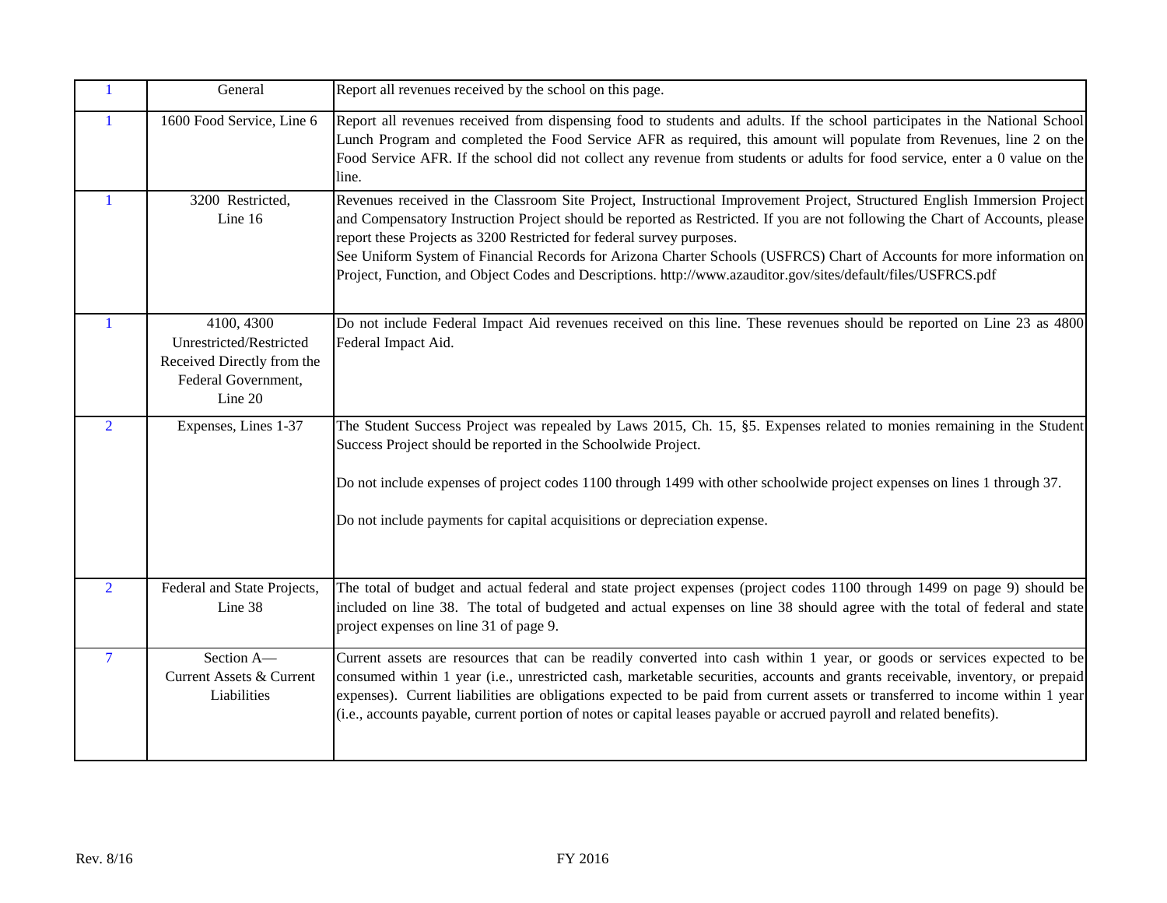<span id="page-12-5"></span><span id="page-12-4"></span><span id="page-12-3"></span><span id="page-12-2"></span><span id="page-12-1"></span><span id="page-12-0"></span>

| $\mathbf{1}$   | General                                                                                               | Report all revenues received by the school on this page.                                                                                                                                                                                                                                                                                                                                                                                                                                                                                                                      |
|----------------|-------------------------------------------------------------------------------------------------------|-------------------------------------------------------------------------------------------------------------------------------------------------------------------------------------------------------------------------------------------------------------------------------------------------------------------------------------------------------------------------------------------------------------------------------------------------------------------------------------------------------------------------------------------------------------------------------|
| $\mathbf{1}$   | 1600 Food Service, Line 6                                                                             | Report all revenues received from dispensing food to students and adults. If the school participates in the National School<br>Lunch Program and completed the Food Service AFR as required, this amount will populate from Revenues, line 2 on the<br>Food Service AFR. If the school did not collect any revenue from students or adults for food service, enter a 0 value on the<br>line.                                                                                                                                                                                  |
| $\mathbf{1}$   | 3200 Restricted,<br>Line 16                                                                           | Revenues received in the Classroom Site Project, Instructional Improvement Project, Structured English Immersion Project<br>and Compensatory Instruction Project should be reported as Restricted. If you are not following the Chart of Accounts, please<br>report these Projects as 3200 Restricted for federal survey purposes.<br>See Uniform System of Financial Records for Arizona Charter Schools (USFRCS) Chart of Accounts for more information on<br>Project, Function, and Object Codes and Descriptions. http://www.azauditor.gov/sites/default/files/USFRCS.pdf |
| $\mathbf{1}$   | 4100, 4300<br>Unrestricted/Restricted<br>Received Directly from the<br>Federal Government,<br>Line 20 | Do not include Federal Impact Aid revenues received on this line. These revenues should be reported on Line 23 as 4800<br>Federal Impact Aid.                                                                                                                                                                                                                                                                                                                                                                                                                                 |
| $\overline{2}$ | Expenses, Lines 1-37                                                                                  | The Student Success Project was repealed by Laws 2015, Ch. 15, §5. Expenses related to monies remaining in the Student<br>Success Project should be reported in the Schoolwide Project.<br>Do not include expenses of project codes 1100 through 1499 with other schoolwide project expenses on lines 1 through 37.<br>Do not include payments for capital acquisitions or depreciation expense.                                                                                                                                                                              |
| $\overline{2}$ | Federal and State Projects,<br>Line 38                                                                | The total of budget and actual federal and state project expenses (project codes 1100 through 1499 on page 9) should be<br>included on line 38. The total of budgeted and actual expenses on line 38 should agree with the total of federal and state<br>project expenses on line 31 of page 9.                                                                                                                                                                                                                                                                               |
| $\overline{7}$ | Section A-<br>Current Assets & Current<br>Liabilities                                                 | Current assets are resources that can be readily converted into cash within 1 year, or goods or services expected to be<br>consumed within 1 year (i.e., unrestricted cash, marketable securities, accounts and grants receivable, inventory, or prepaid<br>expenses). Current liabilities are obligations expected to be paid from current assets or transferred to income within 1 year<br>(i.e., accounts payable, current portion of notes or capital leases payable or accrued payroll and related benefits).                                                            |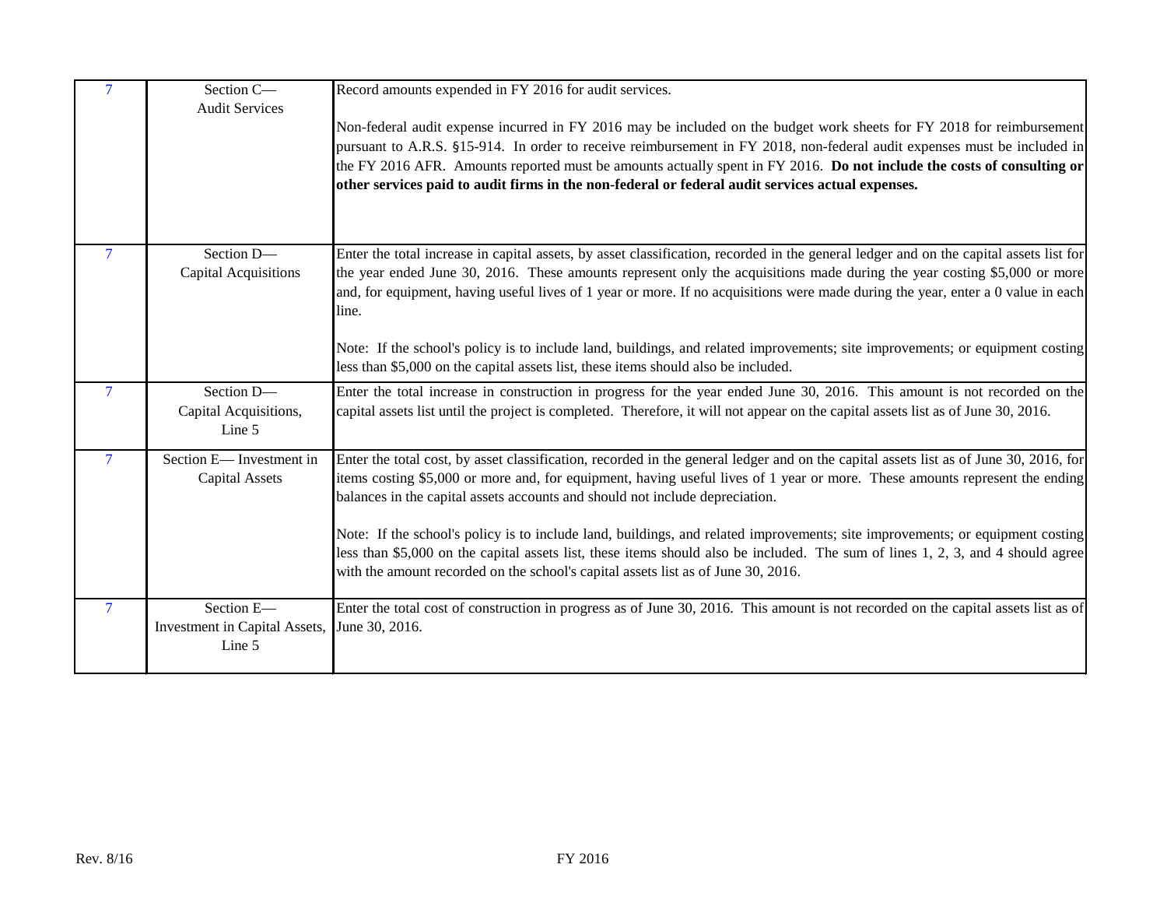<span id="page-13-4"></span><span id="page-13-3"></span><span id="page-13-2"></span><span id="page-13-1"></span><span id="page-13-0"></span>

| $\tau$         | Section C-<br><b>Audit Services</b>                   | Record amounts expended in FY 2016 for audit services.                                                                                                                                                                                                                                                                                                                                                                                                                          |
|----------------|-------------------------------------------------------|---------------------------------------------------------------------------------------------------------------------------------------------------------------------------------------------------------------------------------------------------------------------------------------------------------------------------------------------------------------------------------------------------------------------------------------------------------------------------------|
|                |                                                       | Non-federal audit expense incurred in FY 2016 may be included on the budget work sheets for FY 2018 for reimbursement<br>pursuant to A.R.S. §15-914. In order to receive reimbursement in FY 2018, non-federal audit expenses must be included in<br>the FY 2016 AFR. Amounts reported must be amounts actually spent in FY 2016. Do not include the costs of consulting or<br>other services paid to audit firms in the non-federal or federal audit services actual expenses. |
| 7              | Section D-<br><b>Capital Acquisitions</b>             | Enter the total increase in capital assets, by asset classification, recorded in the general ledger and on the capital assets list for<br>the year ended June 30, 2016. These amounts represent only the acquisitions made during the year costing \$5,000 or more<br>and, for equipment, having useful lives of 1 year or more. If no acquisitions were made during the year, enter a 0 value in each<br>line.                                                                 |
|                |                                                       | Note: If the school's policy is to include land, buildings, and related improvements; site improvements; or equipment costing<br>less than \$5,000 on the capital assets list, these items should also be included.                                                                                                                                                                                                                                                             |
| $\overline{7}$ | Section D-<br>Capital Acquisitions,<br>Line 5         | Enter the total increase in construction in progress for the year ended June 30, 2016. This amount is not recorded on the<br>capital assets list until the project is completed. Therefore, it will not appear on the capital assets list as of June 30, 2016.                                                                                                                                                                                                                  |
| $\overline{7}$ | Section E-Investment in<br><b>Capital Assets</b>      | Enter the total cost, by asset classification, recorded in the general ledger and on the capital assets list as of June 30, 2016, for<br>items costing \$5,000 or more and, for equipment, having useful lives of 1 year or more. These amounts represent the ending<br>balances in the capital assets accounts and should not include depreciation.                                                                                                                            |
|                |                                                       | Note: If the school's policy is to include land, buildings, and related improvements; site improvements; or equipment costing<br>less than \$5,000 on the capital assets list, these items should also be included. The sum of lines 1, 2, 3, and 4 should agree<br>with the amount recorded on the school's capital assets list as of June 30, 2016.                                                                                                                           |
| $\overline{7}$ | Section E-<br>Investment in Capital Assets,<br>Line 5 | Enter the total cost of construction in progress as of June 30, 2016. This amount is not recorded on the capital assets list as of<br>June 30, 2016.                                                                                                                                                                                                                                                                                                                            |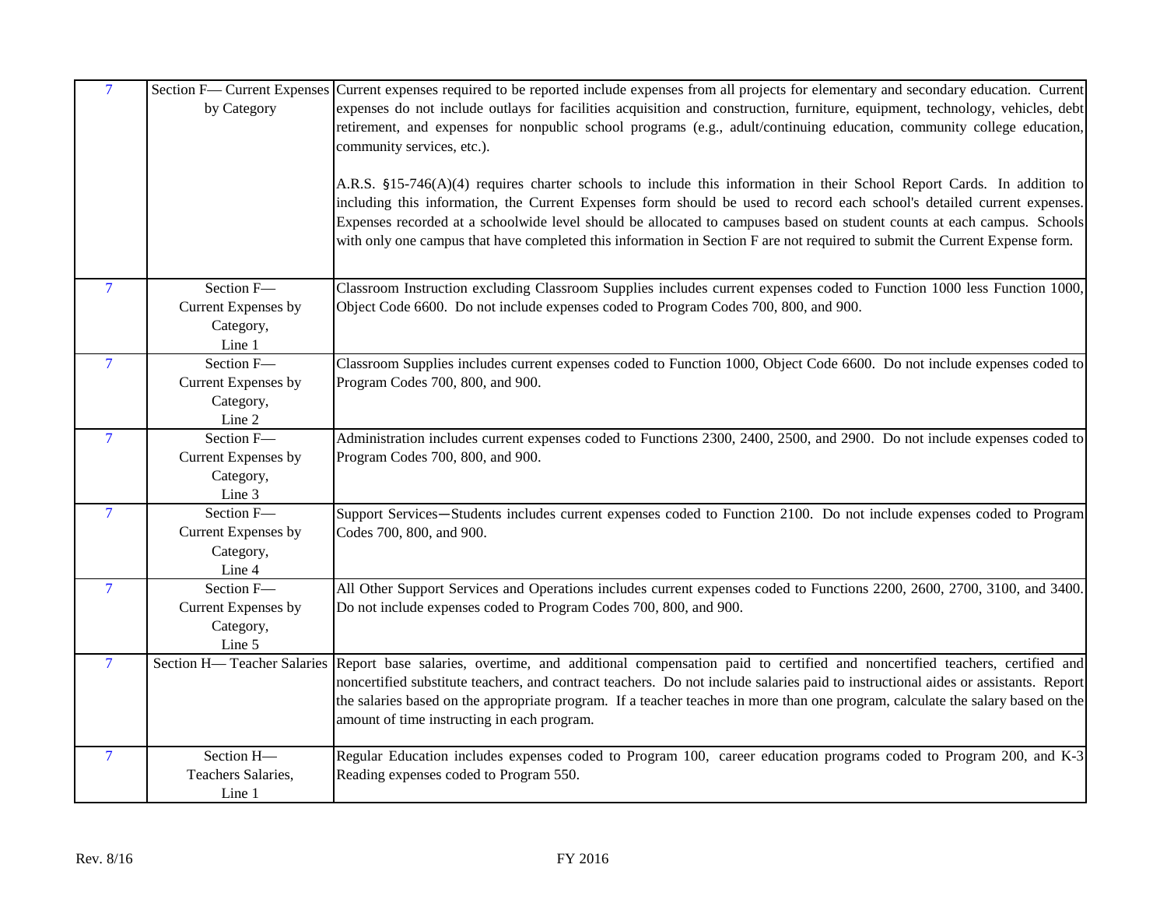<span id="page-14-7"></span><span id="page-14-6"></span><span id="page-14-5"></span><span id="page-14-4"></span><span id="page-14-3"></span><span id="page-14-2"></span><span id="page-14-1"></span><span id="page-14-0"></span>

| $\overline{7}$           |                                  | Section F— Current Expenses Current expenses required to be reported include expenses from all projects for elementary and secondary education. Current                                       |
|--------------------------|----------------------------------|-----------------------------------------------------------------------------------------------------------------------------------------------------------------------------------------------|
|                          | by Category                      | expenses do not include outlays for facilities acquisition and construction, furniture, equipment, technology, vehicles, debt                                                                 |
|                          |                                  | retirement, and expenses for nonpublic school programs (e.g., adult/continuing education, community college education,                                                                        |
|                          |                                  | community services, etc.).                                                                                                                                                                    |
|                          |                                  | A.R.S. §15-746(A)(4) requires charter schools to include this information in their School Report Cards. In addition to                                                                        |
|                          |                                  | including this information, the Current Expenses form should be used to record each school's detailed current expenses.                                                                       |
|                          |                                  | Expenses recorded at a schoolwide level should be allocated to campuses based on student counts at each campus. Schools                                                                       |
|                          |                                  | with only one campus that have completed this information in Section F are not required to submit the Current Expense form.                                                                   |
|                          |                                  |                                                                                                                                                                                               |
| $7\overline{ }$          | Section F-                       | Classroom Instruction excluding Classroom Supplies includes current expenses coded to Function 1000 less Function 1000,                                                                       |
|                          | Current Expenses by              | Object Code 6600. Do not include expenses coded to Program Codes 700, 800, and 900.                                                                                                           |
|                          | Category,                        |                                                                                                                                                                                               |
|                          | Line 1                           |                                                                                                                                                                                               |
| $\overline{7}$           | Section F-                       | Classroom Supplies includes current expenses coded to Function 1000, Object Code 6600. Do not include expenses coded to                                                                       |
|                          | Current Expenses by              | Program Codes 700, 800, and 900.                                                                                                                                                              |
|                          | Category,                        |                                                                                                                                                                                               |
|                          | Line 2                           |                                                                                                                                                                                               |
| $\overline{7}$           | Section F-                       | Administration includes current expenses coded to Functions 2300, 2400, 2500, and 2900. Do not include expenses coded to                                                                      |
|                          | Current Expenses by              | Program Codes 700, 800, and 900.                                                                                                                                                              |
|                          | Category,                        |                                                                                                                                                                                               |
|                          | Line 3                           |                                                                                                                                                                                               |
| $\overline{\mathcal{L}}$ | Section F-                       | Support Services—Students includes current expenses coded to Function 2100. Do not include expenses coded to Program                                                                          |
|                          | Current Expenses by              | Codes 700, 800, and 900.                                                                                                                                                                      |
|                          | Category,                        |                                                                                                                                                                                               |
|                          | Line 4<br>Section F-             |                                                                                                                                                                                               |
| $\overline{7}$           |                                  | All Other Support Services and Operations includes current expenses coded to Functions 2200, 2600, 2700, 3100, and 3400.<br>Do not include expenses coded to Program Codes 700, 800, and 900. |
|                          | Current Expenses by<br>Category, |                                                                                                                                                                                               |
|                          | Line 5                           |                                                                                                                                                                                               |
| $\overline{7}$           |                                  | Section H-Teacher Salaries Report base salaries, overtime, and additional compensation paid to certified and noncertified teachers, certified and                                             |
|                          |                                  | noncertified substitute teachers, and contract teachers. Do not include salaries paid to instructional aides or assistants. Report                                                            |
|                          |                                  | the salaries based on the appropriate program. If a teacher teaches in more than one program, calculate the salary based on the                                                               |
|                          |                                  | amount of time instructing in each program.                                                                                                                                                   |
|                          | Section H-                       |                                                                                                                                                                                               |
| $\overline{7}$           |                                  | Regular Education includes expenses coded to Program 100, career education programs coded to Program 200, and K-3                                                                             |
|                          | Teachers Salaries,               | Reading expenses coded to Program 550.                                                                                                                                                        |
|                          | Line 1                           |                                                                                                                                                                                               |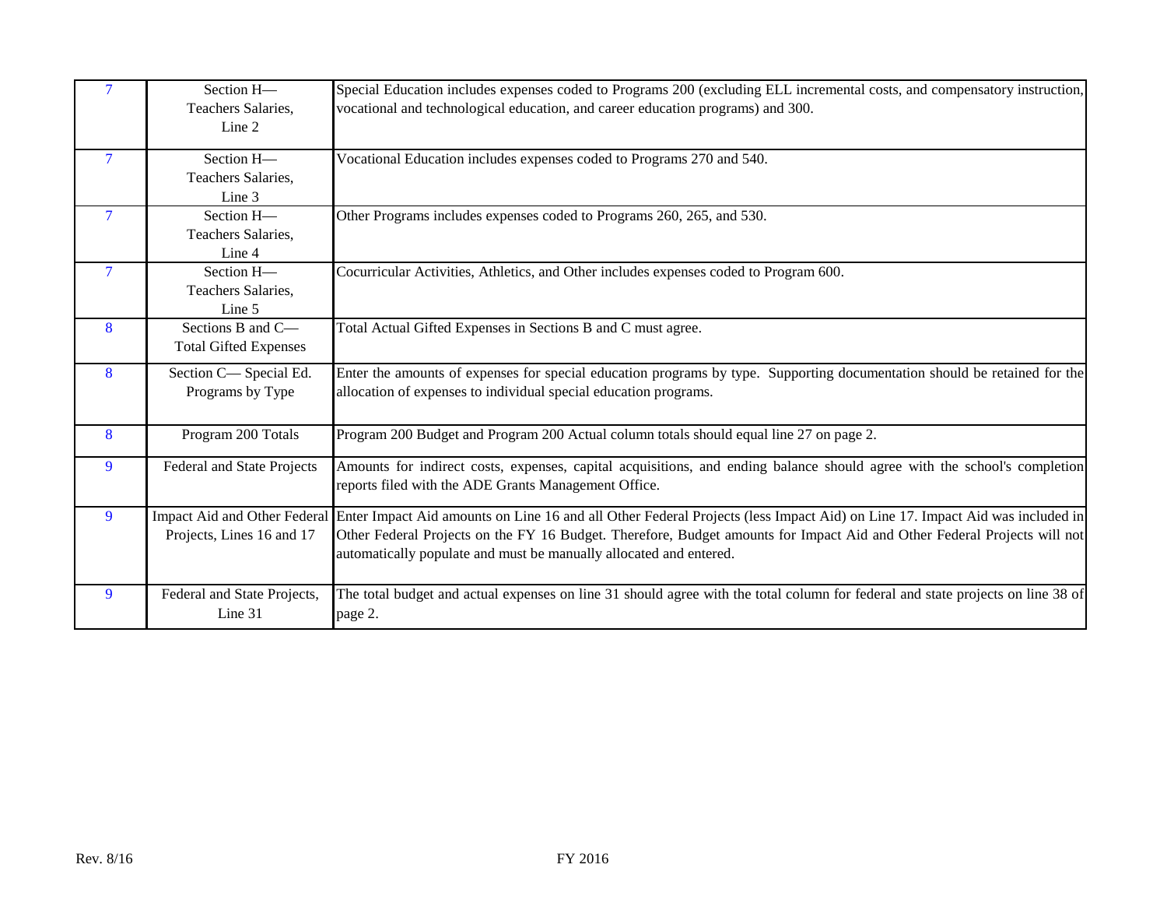<span id="page-15-9"></span><span id="page-15-8"></span><span id="page-15-7"></span><span id="page-15-6"></span><span id="page-15-5"></span><span id="page-15-4"></span><span id="page-15-3"></span><span id="page-15-2"></span><span id="page-15-1"></span><span id="page-15-0"></span>

| $\overline{7}$ | Section H-<br>Teachers Salaries,<br>Line 2                | Special Education includes expenses coded to Programs 200 (excluding ELL incremental costs, and compensatory instruction,<br>vocational and technological education, and career education programs) and 300.                                                                                                                  |
|----------------|-----------------------------------------------------------|-------------------------------------------------------------------------------------------------------------------------------------------------------------------------------------------------------------------------------------------------------------------------------------------------------------------------------|
| $\overline{7}$ | Section H-<br>Teachers Salaries,<br>Line 3                | Vocational Education includes expenses coded to Programs 270 and 540.                                                                                                                                                                                                                                                         |
| $\overline{7}$ | Section H-<br>Teachers Salaries,<br>Line 4                | Other Programs includes expenses coded to Programs 260, 265, and 530.                                                                                                                                                                                                                                                         |
| 7              | Section H-<br>Teachers Salaries,<br>Line 5                | Cocurricular Activities, Athletics, and Other includes expenses coded to Program 600.                                                                                                                                                                                                                                         |
| 8              | Sections B and C-<br><b>Total Gifted Expenses</b>         | Total Actual Gifted Expenses in Sections B and C must agree.                                                                                                                                                                                                                                                                  |
| 8              | Section C-Special Ed.<br>Programs by Type                 | Enter the amounts of expenses for special education programs by type. Supporting documentation should be retained for the<br>allocation of expenses to individual special education programs.                                                                                                                                 |
| 8              | Program 200 Totals                                        | Program 200 Budget and Program 200 Actual column totals should equal line 27 on page 2.                                                                                                                                                                                                                                       |
| 9              | Federal and State Projects                                | Amounts for indirect costs, expenses, capital acquisitions, and ending balance should agree with the school's completion<br>reports filed with the ADE Grants Management Office.                                                                                                                                              |
| 9              | Impact Aid and Other Federal<br>Projects, Lines 16 and 17 | Enter Impact Aid amounts on Line 16 and all Other Federal Projects (less Impact Aid) on Line 17. Impact Aid was included in<br>Other Federal Projects on the FY 16 Budget. Therefore, Budget amounts for Impact Aid and Other Federal Projects will not<br>automatically populate and must be manually allocated and entered. |
| 9              | Federal and State Projects,<br>Line 31                    | The total budget and actual expenses on line 31 should agree with the total column for federal and state projects on line 38 of<br>page 2.                                                                                                                                                                                    |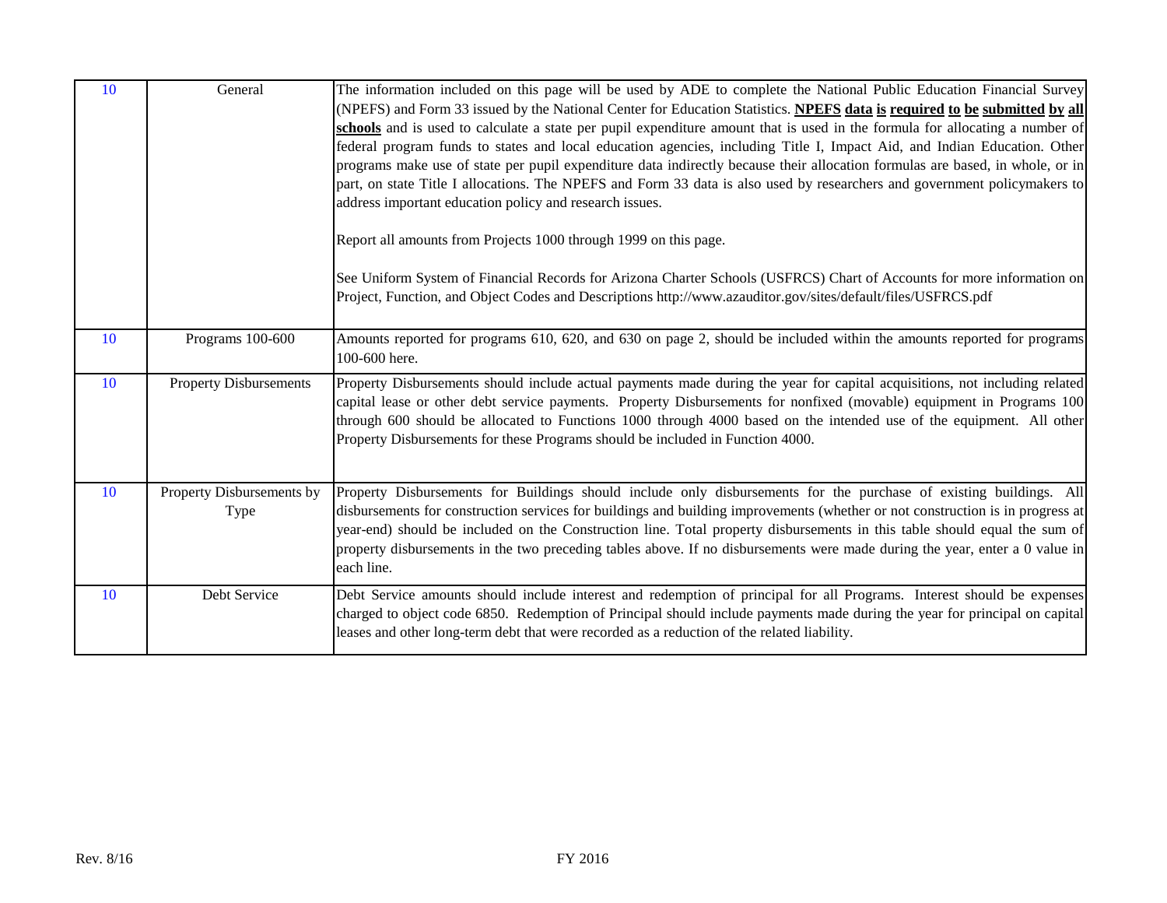<span id="page-16-3"></span><span id="page-16-2"></span><span id="page-16-1"></span><span id="page-16-0"></span>

| 10 | General                           | The information included on this page will be used by ADE to complete the National Public Education Financial Survey<br>(NPEFS) and Form 33 issued by the National Center for Education Statistics. NPEFS data is required to be submitted by all<br>schools and is used to calculate a state per pupil expenditure amount that is used in the formula for allocating a number of<br>federal program funds to states and local education agencies, including Title I, Impact Aid, and Indian Education. Other<br>programs make use of state per pupil expenditure data indirectly because their allocation formulas are based, in whole, or in<br>part, on state Title I allocations. The NPEFS and Form 33 data is also used by researchers and government policymakers to<br>address important education policy and research issues.<br>Report all amounts from Projects 1000 through 1999 on this page.<br>See Uniform System of Financial Records for Arizona Charter Schools (USFRCS) Chart of Accounts for more information on<br>Project, Function, and Object Codes and Descriptions http://www.azauditor.gov/sites/default/files/USFRCS.pdf |
|----|-----------------------------------|------------------------------------------------------------------------------------------------------------------------------------------------------------------------------------------------------------------------------------------------------------------------------------------------------------------------------------------------------------------------------------------------------------------------------------------------------------------------------------------------------------------------------------------------------------------------------------------------------------------------------------------------------------------------------------------------------------------------------------------------------------------------------------------------------------------------------------------------------------------------------------------------------------------------------------------------------------------------------------------------------------------------------------------------------------------------------------------------------------------------------------------------------|
| 10 | Programs 100-600                  | Amounts reported for programs 610, 620, and 630 on page 2, should be included within the amounts reported for programs<br>100-600 here.                                                                                                                                                                                                                                                                                                                                                                                                                                                                                                                                                                                                                                                                                                                                                                                                                                                                                                                                                                                                              |
| 10 | <b>Property Disbursements</b>     | Property Disbursements should include actual payments made during the year for capital acquisitions, not including related<br>capital lease or other debt service payments. Property Disbursements for nonfixed (movable) equipment in Programs 100<br>through 600 should be allocated to Functions 1000 through 4000 based on the intended use of the equipment. All other<br>Property Disbursements for these Programs should be included in Function 4000.                                                                                                                                                                                                                                                                                                                                                                                                                                                                                                                                                                                                                                                                                        |
| 10 | Property Disbursements by<br>Type | Property Disbursements for Buildings should include only disbursements for the purchase of existing buildings. All<br>disbursements for construction services for buildings and building improvements (whether or not construction is in progress at<br>year-end) should be included on the Construction line. Total property disbursements in this table should equal the sum of<br>property disbursements in the two preceding tables above. If no disbursements were made during the year, enter a 0 value in<br>each line.                                                                                                                                                                                                                                                                                                                                                                                                                                                                                                                                                                                                                       |
| 10 | Debt Service                      | Debt Service amounts should include interest and redemption of principal for all Programs. Interest should be expenses<br>charged to object code 6850. Redemption of Principal should include payments made during the year for principal on capital<br>leases and other long-term debt that were recorded as a reduction of the related liability.                                                                                                                                                                                                                                                                                                                                                                                                                                                                                                                                                                                                                                                                                                                                                                                                  |